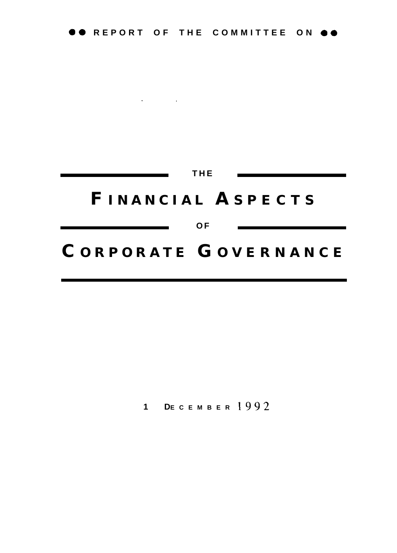$\mathcal{L}^{\text{max}}_{\text{max}}$  , where  $\mathcal{L}^{\text{max}}_{\text{max}}$ 

# **THE F INANCIAL A SPECTS O F C ORPORATE G OVERNANCE**

**1 DECEMBER** 1992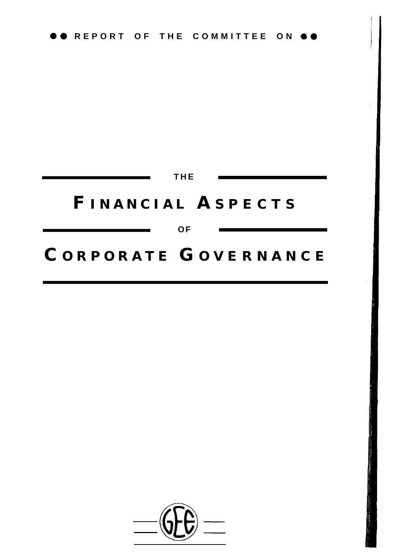| THF                  |
|----------------------|
| FINANCIAL ASPECTS    |
| 0E                   |
| CORPORATE GOVERNANCE |

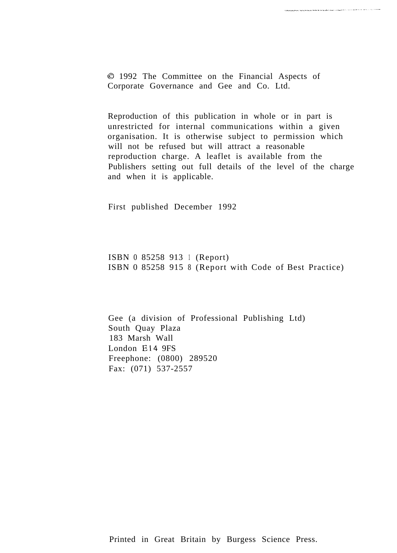0 1992 The Committee on the Financial Aspects of Corporate Governance and Gee and Co. Ltd.

Reproduction of this publication in whole or in part is unrestricted for internal communications within a given organisation. It is otherwise subject to permission which will not be refused but will attract a reasonable reproduction charge. A leaflet is available from the Publishers setting out full details of the level of the charge and when it is applicable.

.<br>Kabanggiginan mahalik kuga meruk menjagi di dalam kebuah di melah meneriman menerim nengan meneriman di meneri

First published December 1992

ISBN 0 85258 913 <sup>1</sup> (Report) ISBN 0 85258 915 8 (Report with Code of Best Practice)

Gee (a division of Professional Publishing Ltd) South Quay Plaza 183 Marsh Wall London El4 9FS Freephone: (0800) 289520 Fax: (071) 537-2557

Printed in Great Britain by Burgess Science Press.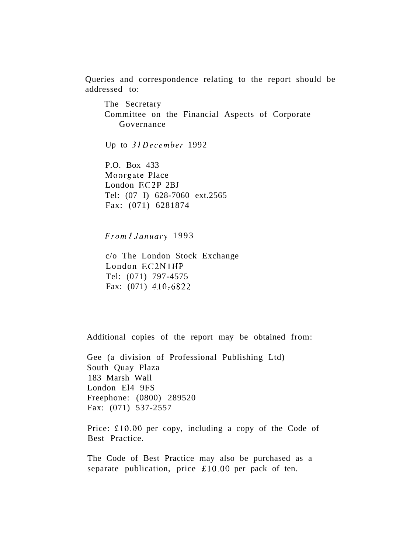Queries and correspondence relating to the report should be addressed to:

The Secretary Committee on the Financial Aspects of Corporate Governance

Up to 31 *Decemher~* 1992

P.O. Box 433 Moorgate Place London EC2P 2BJ Tel: (07 I) 628-7060 ext.2565 Fax: (071) 6281874

From 1 January 1993

c/o The London Stock Exchange London EC2N IHP Tel: (071) 797-4575 Fax:  $(071)$  4.10:6822

Additional copies of the report may be obtained from:

Gee (a division of Professional Publishing Ltd) South Quay Plaza 183 Marsh Wall London El4 9FS Freephone: (0800) 289520 Fax: (071) 537-2557

Price: £10.00 per copy, including a copy of the Code of Best Practice.

The Code of Best Practice may also be purchased as a separate publication, price  $£10.00$  per pack of ten.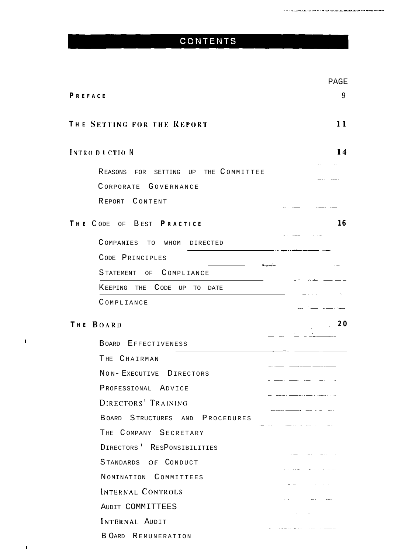# CONTENTS

in de bestehen

|                                                                      | PAGE                               |    |
|----------------------------------------------------------------------|------------------------------------|----|
| PREFACE                                                              |                                    | 9  |
| THE SETTING FOR THE REPORT                                           |                                    | 11 |
| <b>INTRO D UCTIO N</b>                                               |                                    | 14 |
| THE COMMITTEE<br>R easons<br>UP<br>FOR<br>SETTING                    |                                    |    |
| CORPORATE<br>GOVERNANCE                                              |                                    |    |
| <b>REPORT</b><br>CONTENT                                             |                                    |    |
| THE CODE OF BEST PRACTICE                                            |                                    | 16 |
| COMPANIES TO<br>WHOM<br>DIRECTED                                     |                                    |    |
| CODE PRINCIPLES                                                      |                                    |    |
| S TATEMENT<br>COMPLIANCE<br>OF                                       |                                    |    |
| $\mathsf{C}$ ode<br><b>KEEPING</b><br>THE<br>UP<br>TO<br><b>DATE</b> |                                    |    |
| COMPLIANCE                                                           |                                    |    |
| THE BOARD                                                            |                                    | 20 |
| <b>B</b> oard<br><b>EFFECTIVENESS</b>                                |                                    |    |
| $T$ HE<br>CHAIRMAN                                                   |                                    |    |
| NON-EXECUTIVE DIRECTORS                                              |                                    |    |
| PROFESSIONAL ADVICE                                                  |                                    |    |
| DIRECTORS' TRAINING                                                  |                                    |    |
| BOARD STRUCTURES AND PROCEDURES                                      |                                    |    |
| THE COMPANY SECRETARY                                                |                                    |    |
| DIRECTORS ' RESPONSIBILITIES                                         |                                    |    |
| STANDARDS OF CONDUCT                                                 |                                    |    |
| NOMINATION COMMITTEES                                                |                                    |    |
| INTERNAL CONTROLS                                                    | and state and                      |    |
| <b>AUDIT COMMITTEES</b>                                              | $\alpha$ and $\alpha$ and $\alpha$ |    |
| INTERNAL AUDIT                                                       |                                    |    |
| <b>B OARD REMUNERATION</b>                                           |                                    |    |

 $\mathbf{I}$ 

 $\blacksquare$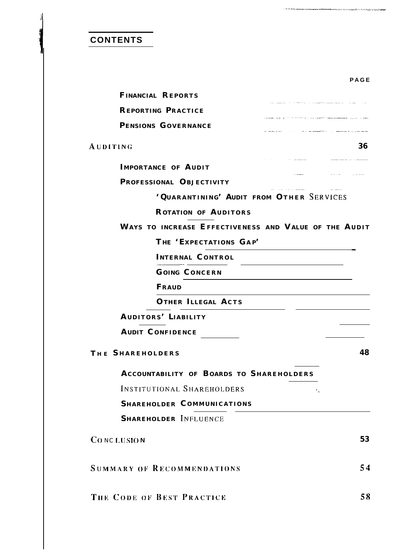## **CONTENTS**

|                                                 | <b>PAGE</b>                                           |
|-------------------------------------------------|-------------------------------------------------------|
| FINANCIAL REPORTS                               |                                                       |
| <b>REPORTING PRACTICE</b>                       |                                                       |
| PENSIONS GOVERNANCE                             |                                                       |
| AUDITING                                        | 36                                                    |
| <b>IMPORTANCE OF AUDIT</b>                      |                                                       |
| PROFESSIONAL OBJECTIVITY                        |                                                       |
|                                                 | 'QUARANTINING' AUDIT FROM OTHER SERVICES              |
| <b>ROTATION OF AUDITORS</b>                     |                                                       |
|                                                 | WAYS TO INCREASE EFFECTIVENESS AND VALUE OF THE AUDIT |
| THE 'EXPECTATIONS GAP'                          |                                                       |
| INTERNAL CONTROL                                |                                                       |
| <b>GOING CONCERN</b>                            |                                                       |
| <b>FRAUD</b>                                    |                                                       |
| <b>OTHER ILLEGAL ACTS</b>                       |                                                       |
| <b>AUDITORS' LIABILITY</b>                      |                                                       |
| <b>AUDIT CONFIDENCE</b>                         |                                                       |
| THE SHAREHOLDERS                                | lХ                                                    |
| <b>ACCOUNTABILITY OF BOARDS TO SHAREHOLDERS</b> |                                                       |
| INSTITUTIONAL SHAREHOLDERS                      | ٠.                                                    |
| SHAREHOLDER COMMUNICATIONS                      |                                                       |
| SHAREHOLDER INFLUENCE                           |                                                       |
| CONCLUSION                                      | 53                                                    |
| <b>SUMMARY OF RECOMMENDATIONS</b>               | 54                                                    |
| THE CODE OF BEST PRACTICE                       | 58                                                    |

<u>a personal de la c</u>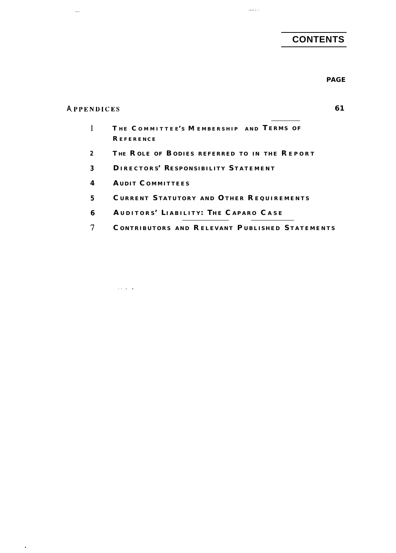## **CONTENTS**

 $\sim$  200  $\mu$   $\sim$ 

**PAGE**

| APPENDICES   |                                                              |  |
|--------------|--------------------------------------------------------------|--|
|              | THE COMMITTEE'S M EMBERSHIP AND TERMS OF<br><b>REFERENCE</b> |  |
| $\mathbf{2}$ | THE ROLE OF BODIES REFERRED TO IN THE REPORT                 |  |
| 3            | <b>DIRECTORS' RESPONSIBILITY STATEMENT</b>                   |  |
| 4            | <b>AUDIT COMMITTEES</b>                                      |  |
| $\mathbf{5}$ | <b>CURRENT STATUTORY AND OTHER REQUIREMENTS</b>              |  |
| 6            | AUDITORS' LIABILITY: THE CAPARO CASE                         |  |
| 7            | CONTRIBUTORS AND RELEVANT PUBLISHED STATEMENTS               |  |
|              |                                                              |  |

 $\langle \tau_{\rm max} \rangle$ 

 $\sim 10^{11}$  km s  $^{-1}$ 

 $\blacksquare$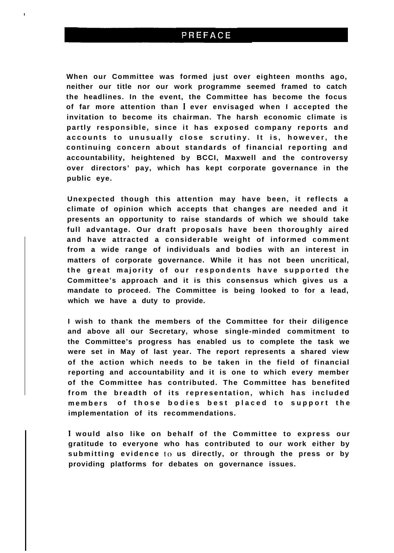## PREFACE

 $\mathbf{r}$ 

**When our Committee was formed just over eighteen months ago, neither our title nor our work programme seemed framed to catch the headlines. In the event, the Committee has become the focus of far more attention than** I **ever envisaged when I accepted the invitation to become its chairman. The harsh economic climate is partly responsible, since it has exposed company reports and accounts to unusually close scrutiny. It is, however, the continuing concern about standards of financial reporting and accountability, heightened by BCCI, Maxwell and the controversy over directors' pay, which has kept corporate governance in the public eye.**

**Unexpected though this attention may have been, it reflects a climate of opinion which accepts that changes are needed and it presents an opportunity to raise standards of which we should take full advantage. Our draft proposals have been thoroughly aired and have attracted a considerable weight of informed comment from a wide range of individuals and bodies with an interest in matters of corporate governance. While it has not been uncritical, the great majority of our respondents have supported the Committee's approach and it is this consensus which gives us a mandate to proceed. The Committee is being looked to for a lead, which we have a duty to provide.**

**I wish to thank the members of the Committee for their diligence and above all our Secretary, whose single-minded commitment to the Committee's progress has enabled us to complete the task we were set in May of last year. The report represents a shared view of the action which needs to be taken in the field of financial reporting and accountability and it is one to which every member of the Committee has contributed. The Committee has benefited from the breadth of its representation, which has included members of those bodies best placed to support the implementation of its recommendations.**

**I would also like on behalf of the Committee to express our gratitude to everyone who has contributed to our work either by submitting evidence 10 us directly, or through the press or by providing platforms for debates on governance issues.**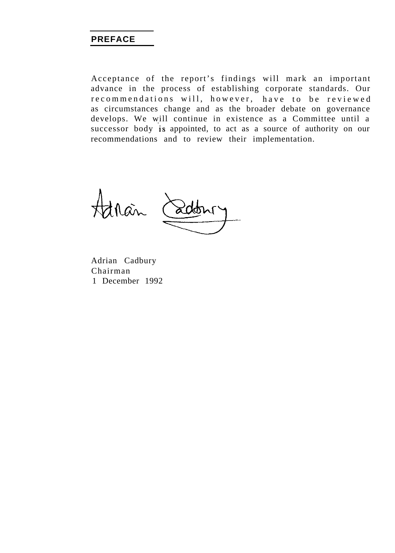#### **PREFACE**

Acceptance of the report's findings will mark an important advance in the process of establishing corporate standards. Our recommendations will, however, have to be reviewed as circumstances change and as the broader debate on governance develops. We will continue in existence as a Committee until a successor body is appointed, to act as a source of authority on our recommendations and to review their implementation.

than Sadon

Adrian Cadbury Chairman 1 December 1992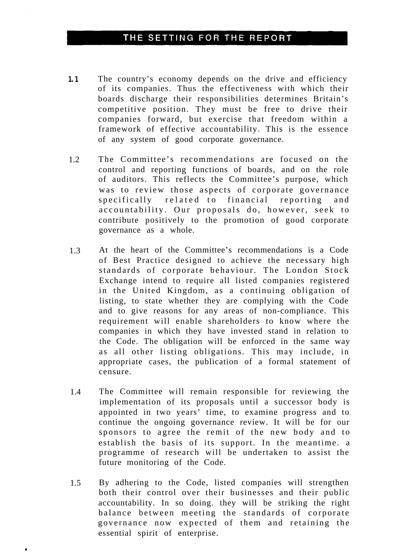## THE SETTING FOR THE REPORT

- **1.1** The country's economy depends on the drive and efficiency of its companies. Thus the effectiveness with which their boards discharge their responsibilities determines Britain's competitive position. They must be free to drive their companies forward, but exercise that freedom within a framework of effective accountability. This is the essence of any system of good corporate governance.
- 1.2 The Committee's recommendations are focused on the control and reporting functions of boards, and on the role of auditors. This reflects the Committee's purpose, which was to review those aspects of corporate governance specifically related to financial reporting and accountability. Our proposals do, however, seek to contribute positively to the promotion of good corporate governance as a whole.
- 1.3 At the heart of the Committee's recommendations is a Code of Best Practice designed to achieve the necessary high standards of corporate behaviour. The London Stock Exchange intend to require all listed companies registered in the United Kingdom, as a continuing obligation of listing, to state whether they are complying with the Code and to give reasons for any areas of non-compliance. This requirement will enable shareholders to know where the companies in which they have invested stand in relation to the Code. The obligation will be enforced in the same way as all other listing obligations. This may include, in appropriate cases, the publication of a formal statement of censure.
- 1.4 The Committee will remain responsible for reviewing the implementation of its proposals until a successor body is appointed in two years' time, to examine progress and to continue the ongoing governance review. It will be for our sponsors to agree the remit of the new body and to establish the basis of its support. In the meantime. a programme of research will be undertaken to assist the future monitoring of the Code.
- 1.5 By adhering to the Code, listed companies will strengthen both their control over their businesses and their public accountability. In so doing. they will be striking the right balance between meeting the standards of corporate governance now expected of them and retaining the essential spirit of enterprise.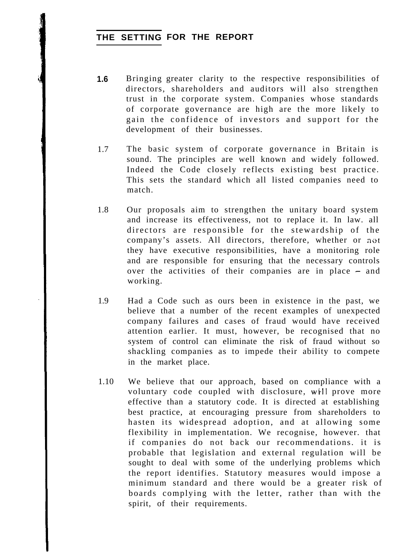## **THE SETTING FOR THE REPORT**

- **1.6** Bringing greater clarity to the respective responsibilities of directors, shareholders and auditors will also strengthen trust in the corporate system. Companies whose standards of corporate governance are high are the more likely to gain the confidence of investors and support for the development of their businesses.
- 1.7 The basic system of corporate governance in Britain is sound. The principles are well known and widely followed. Indeed the Code closely reflects existing best practice. This sets the standard which all listed companies need to match.
- 1.8 Our proposals aim to strengthen the unitary board system and increase its effectiveness, not to replace it. In law. all directors are responsible for the stewardship of the company's assets. All directors, therefore, whether or not they have executive responsibilities, have a monitoring role and are responsible for ensuring that the necessary controls over the activities of their companies are in place - and working.
- 1.9 Had a Code such as ours been in existence in the past, we believe that a number of the recent examples of unexpected company failures and cases of fraud would have received attention earlier. It must, however, be recognised that no system of control can eliminate the risk of fraud without so shackling companies as to impede their ability to compete in the market place.
- 1.10 We believe that our approach, based on compliance with a voluntary code coupled with disclosure, will prove more effective than a statutory code. It is directed at establishing best practice, at encouraging pressure from shareholders to hasten its widespread adoption, and at allowing some flexibility in implementation. We recognise, however. that if companies do not back our recommendations. it is probable that legislation and external regulation will be sought to deal with some of the underlying problems which the report identifies. Statutory measures would impose a minimum standard and there would be a greater risk of boards complying with the letter, rather than with the spirit, of their requirements.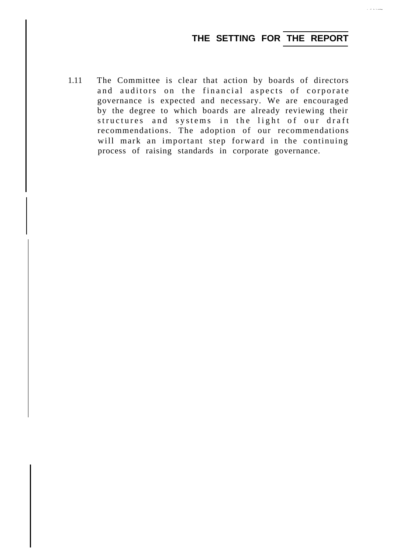## **THE SETTING FOR THE REPORT**

and come

1.11 The Committee is clear that action by boards of directors and auditors on the financial aspects of corporate governance is expected and necessary. We are encouraged by the degree to which boards are already reviewing their structures and systems in the light of our draft recommendations. The adoption of our recommendations will mark an important step forward in the continuing process of raising standards in corporate governance.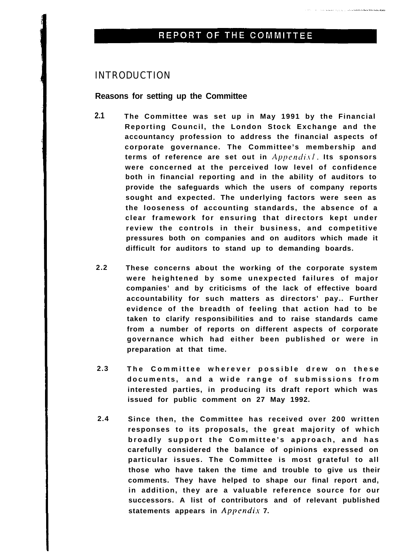## REPORT OF THE COMMITTEE

.<br>De en mens de la construcció de la construcció de la construcción de la construcción de la construcción de la

#### INTRODUCTION

#### **Reasons for setting up the Committee**

- **2.1 The Committee was set up in May 1991 by the Financial Reporting Council, the London Stock Exchange and the accountancy profession to address the financial aspects of corporate governance. The Committee's membership and terms of reference are set out in** *Appent/i.r 1.* **Its sponsors were concerned at the perceived low level of confidence both in financial reporting and in the ability of auditors to provide the safeguards which the users of company reports sought and expected. The underlying factors were seen as the looseness of accounting standards, the absence of a clear framework for ensuring that directors kept under review the controls in their business, and competitive pressures both on companies and on auditors which made it difficult for auditors to stand up to demanding boards.**
- **2.2 These concerns about the working of the corporate system were heightened by some unexpected failures of major companies' and by criticisms of the lack of effective board accountability for such matters as directors' pay.. Further evidence of the breadth of feeling that action had to be taken to clarify responsibilities and to raise standards came from a number of reports on different aspects of corporate governance which had either been published or were in preparation at that time.**
- **2.3 The Committee wherever possible drew on these documents, and a wide range of submissions from interested parties, in producing its draft report which was issued for public comment on 27 May 1992.**
- **2.4 Since then, the Committee has received over 200 written responses to its proposals, the great majority of which broadly support the Committee's approach, and has carefully considered the balance of opinions expressed on particular issues. The Committee is most grateful to all those who have taken the time and trouble to give us their comments. They have helped to shape our final report and, in addition, they are a valuable reference source for our successors. A list of contributors and of relevant published statements appears in** *Appcndis* **7.**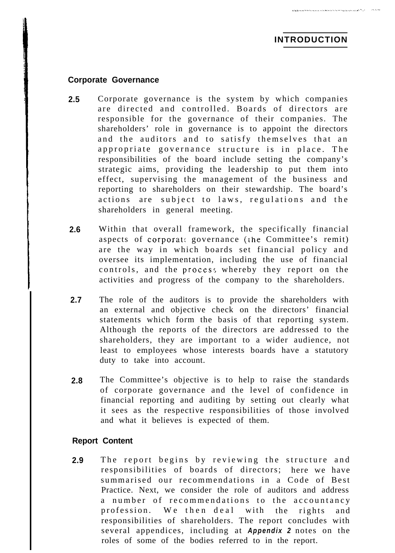## **INTRODUCTION**

.,.,. ,.,.I, ~.~...,,,,,.....,..,,,,...~. .,,. ,.,. ,. ,., . . ,,,,,.I

#### **Corporate Governance**

- **2.5** Corporate governance is the system by which companies are directed and controlled. Boards of directors are responsible for the governance of their companies. The shareholders' role in governance is to appoint the directors and the auditors and to satisfy themselves that an appropriate governance structure is in place. The responsibilities of the board include setting the company's strategic aims, providing the leadership to put them into effect, supervising the management of the business and reporting to shareholders on their stewardship. The board's actions are subject to laws, regulations and the shareholders in general meeting.
- **2.6** Within that overall framework, the specifically financial aspects of corporat: governance **(ihe** Committee's remit) are the way in which boards set financial policy and oversee its implementation, including the use of financial controls, and the proces: whereby they report on the activities and progress of the company to the shareholders.
- **2.7** The role of the auditors is to provide the shareholders with an external and objective check on the directors' financial statements which form the basis of that reporting system. Although the reports of the directors are addressed to the shareholders, they are important to a wider audience, not least to employees whose interests boards have a statutory duty to take into account.
- **2.8** The Committee's objective is to help to raise the standards of corporate governance and the level of confidence in financial reporting and auditing by setting out clearly what it sees as the respective responsibilities of those involved and what it believes is expected of them.

#### **Report Content**

**2.9** The report begins by reviewing the structure and responsibilities of boards of directors; here we have summarised our recommendations in a Code of Best Practice. Next, we consider the role of auditors and address a number of recommendations to the accountancy profession. We then deal with the rights and responsibilities of shareholders. The report concludes with several appendices, including at *Appendix 2* notes on the roles of some of the bodies referred to in the report.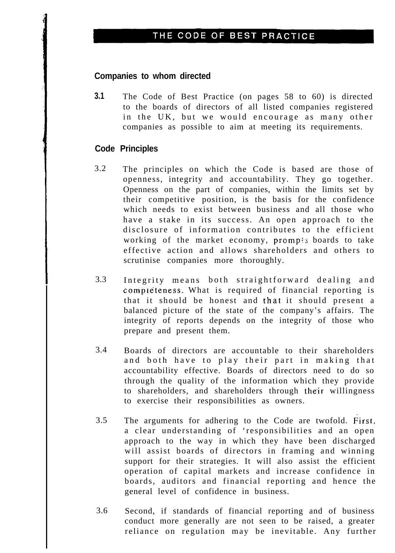#### **Companies to whom directed**

**3.1** The Code of Best Practice (on pages 58 to 60) is directed to the boards of directors of all listed companies registered in the UK, but we would encourage as many other companies as possible to aim at meeting its requirements.

#### **Code Principles**

- 3.2 The principles on which the Code is based are those of openness, integrity and accountability. They go together. Openness on the part of companies, within the limits set by their competitive position, is the basis for the confidence which needs to exist between business and all those who have a stake in its success. An open approach to the disclosure of information contributes to the efficient working of the market economy, prompis boards to take effective action and allows shareholders and others to scrutinise companies more thoroughly.
- 3.3 Integrity means both straightforward dealing and compteteness. What is required of financial reporting is that it should be honest and that it should present a balanced picture of the state of the company's affairs. The integrity of reports depends on the integrity of those who prepare and present them.
- 3.4 Boards of directors are accountable to their shareholders and both have to play their part in making that accountability effective. Boards of directors need to do so through the quality of the information which they provide to shareholders, and shareholders through their willingness to exercise their responsibilities as owners.
- 3.5 The arguments for adhering to the Code are twofold. First, a clear understanding of 'responsibilities and an open approach to the way in which they have been discharged will assist boards of directors in framing and winning support for their strategies. It will also assist the efficient operation of capital markets and increase confidence in boards, auditors and financial reporting and hence the general level of confidence in business.
- 3.6 Second, if standards of financial reporting and of business conduct more generally are not seen to be raised, a greater reliance on regulation may be inevitable. Any further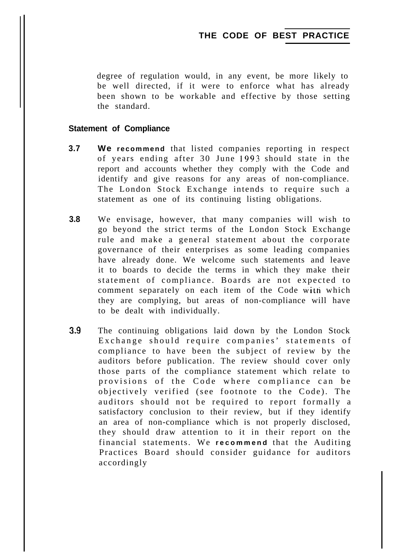degree of regulation would, in any event, be more likely to be well directed, if it were to enforce what has already been shown to be workable and effective by those setting the standard.

#### **Statement of Compliance**

- **3.7 We recommend** that listed companies reporting in respect of years ending after 30 June 1993 should state in the report and accounts whether they comply with the Code and identify and give reasons for any areas of non-compliance. The London Stock Exchange intends to require such a statement as one of its continuing listing obligations.
- **3.8** We envisage, however, that many companies will wish to go beyond the strict terms of the London Stock Exchange rule and make a general statement about the corporate governance of their enterprises as some leading companies have already done. We welcome such statements and leave it to boards to decide the terms in which they make their statement of compliance. Boards are not expected to comment separately on each item of the Code with which they are complying, but areas of non-compliance will have to be dealt with individually.
- 3.9 The continuing obligations laid down by the London Stock Exchange should require companies' statements of compliance to have been the subject of review by the auditors before publication. The review should cover only those parts of the compliance statement which relate to provisions of the Code where compliance can be objectively verified (see footnote to the Code). The auditors should not be required to report formally a satisfactory conclusion to their review, but if they identify an area of non-compliance which is not properly disclosed, they should draw attention to it in their report on the financial statements. We **recommend** that the Auditing Practices Board should consider guidance for auditors accordingly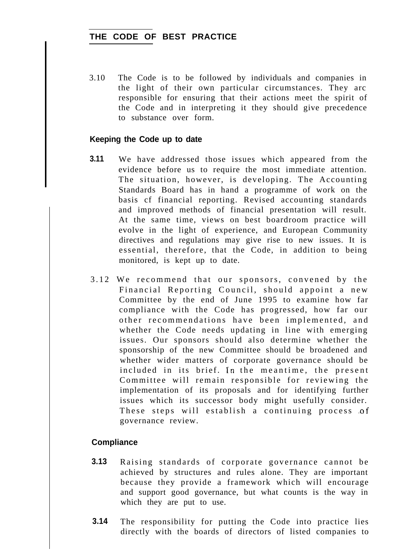## **THE CODE OF BEST PRACTICE**

3.10 The Code is to be followed by individuals and companies in the light of their own particular circumstances. They arc responsible for ensuring that their actions meet the spirit of the Code and in interpreting it they should give precedence to substance over form.

#### **Keeping the Code up to date**

- **3.11** We have addressed those issues which appeared from the evidence before us to require the most immediate attention. The situation, however, is developing. The Accounting Standards Board has in hand a programme of work on the basis cf financial reporting. Revised accounting standards and improved methods of financial presentation will result. At the same time, views on best boardroom practice will evolve in the light of experience, and European Community directives and regulations may give rise to new issues. It is essential, therefore, that the Code, in addition to being monitored, is kept up to date.
- 3.12 We recommend that our sponsors, convened by the Financial Reporting Council, should appoint a new Committee by the end of June 1995 to examine how far compliance with the Code has progressed, how far our other recommendations have been implemented, and whether the Code needs updating in line with emerging issues. Our sponsors should also determine whether the sponsorship of the new Committee should be broadened and whether wider matters of corporate governance should be included in its brief. In the meantime, the present Committee will remain responsible for reviewing the implementation of its proposals and for identifying further issues which its successor body might usefully consider. These steps will establish a continuing process of governance review.

#### **Compliance**

- **3.13** Raising standards of corporate governance cannot be achieved by structures and rules alone. They are important because they provide a framework which will encourage and support good governance, but what counts is the way in which they are put to use.
- **3.14** The responsibility for putting the Code into practice lies directly with the boards of directors of listed companies to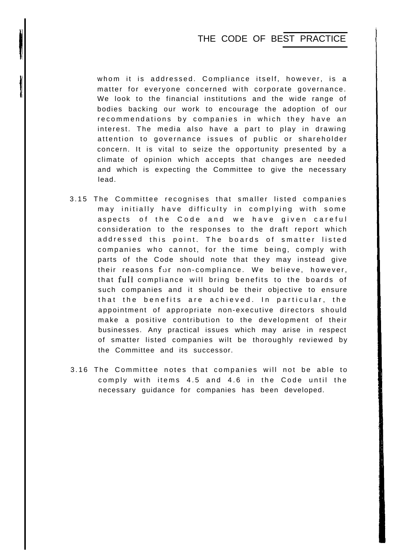## THE CODE OF BEST PRACTICE

whom it is addressed. Compliance itself, however, is a matter for everyone concerned with corporate governance. We look to the financial institutions and the wide range of bodies backing our work to encourage the adoption of our recommendations by companies in which they have an interest. The media also have a part to play in drawing attention to governance issues of public or shareholder concern. It is vital to seize the opportunity presented by a climate of opinion which accepts that changes are needed and which is expecting the Committee to give the necessary lead.

- 3.15 The Committee recognises that smaller listed companies may initially have difficulty in complying with some aspects of the Code and we have given careful consideration to the responses to the draft report which addressed this point. The boards of smatter listed companies who cannot, for the time being, comply with parts of the Code should note that they may instead give their reasons for non-compliance. We believe, however, that full compliance will bring benefits to the boards of such companies and it should be their objective to ensure that the benefits are achieved. In particular, the appointment of appropriate non-executive directors should make a positive contribution to the development of their businesses. Any practical issues which may arise in respect of smatter listed companies wilt be thoroughly reviewed by the Committee and its successor.
- 3.16 The Committee notes that companies will not be able to comply with items 4.5 and 4.6 in the Code until the necessary guidance for companies has been developed.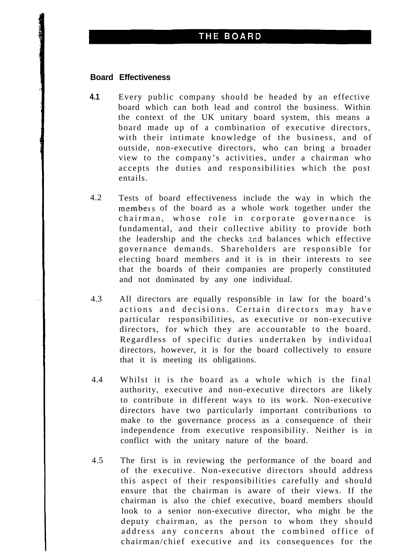#### **Board Effectiveness**

- **4.1** Every public company should be headed by an effective board which can both lead and control the business. Within the context of the UK unitary board system, this means a board made up of a combination of executive directors, with their intimate knowledge of the business, and of outside, non-executive directors, who can bring a broader view to the company's activities, under a chairman who accepts the duties and responsibilities which the post entails.
- 4.2 Tests of board effectiveness include the way in which the members of the board as a whole work together under the chairman, whose role in corporate governance is fundamental, and their collective ability to provide both the leadership and the checks and balances which effective governance demands. Shareholders are responsible for electing board members and it is in their interests to see that the boards of their companies are properly constituted and not dominated by any one individual.
- 4.3 All directors are equally responsible in law for the board's actions and decisions. Certain directors may have particular responsibilities, as executive or non-executive directors, for which they are accountable to the board. Regardless of specific duties undertaken by individual directors, however, it is for the board collectively to ensure that it is meeting its obligations.
- 4.4 Whilst it is the board as a whole which is the final authority, executive and non-executive directors are likely to contribute in different ways to its work. Non-executive directors have two particularly important contributions to make to the governance process as a consequence of their independence from executive responsibility. Neither is in conflict with the unitary nature of the board.
- 4.5 The first is in reviewing the performance of the board and of the executive. Non-executive directors should address this aspect of their responsibilities carefully and should ensure that the chairman is aware of their views. If the chairman is also the chief executive, board members should look to a senior non-executive director, who might be the deputy chairman, as the person to whom they should address any concerns about the combined office of chairman/chief executive and its consequences for the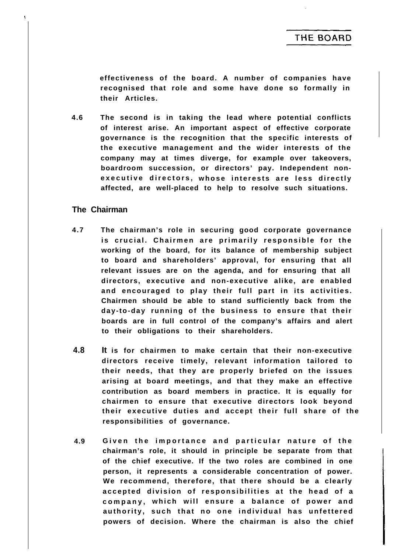**effectiveness of the board. A number of companies have recognised that role and some have done so formally in their Articles.**

**4.6 The second is in taking the lead where potential conflicts of interest arise. An important aspect of effective corporate governance is the recognition that the specific interests of the executive management and the wider interests of the company may at times diverge, for example over takeovers, boardroom succession, or directors' pay. Independent nonexecutive directors, whose interests are less directly affected, are well-placed to help to resolve such situations.**

#### **The Chairman**

- **4.7 The chairman's role in securing good corporate governance is crucial. Chairmen are primarily responsible for the working of the board, for its balance of membership subject to board and shareholders' approval, for ensuring that all relevant issues are on the agenda, and for ensuring that all directors, executive and non-executive alike, are enabled and encouraged to play their full part in its activities. Chairmen should be able to stand sufficiently back from the day-to-day running of the business to ensure that their boards are in full control of the company's affairs and alert to their obligations to their shareholders.**
- **4.8 It is for chairmen to make certain that their non-executive directors receive timely, relevant information tailored to their needs, that they are properly briefed on the issues arising at board meetings, and that they make an effective contribution as board members in practice. It is equally for chairmen to ensure that executive directors look beyond their executive duties and accept their full share of the responsibilities of governance.**
- **4.9 Given the importance and particular nature of the chairman's role, it should in principle be separate from that of the chief executive. If the two roles are combined in one person, it represents a considerable concentration of power. We recommend, therefore, that there should be a clearly accepted division of responsibilities at the head of a company, which will ensure a balance of power and authority, such that no one individual has unfettered powers of decision. Where the chairman is also the chief**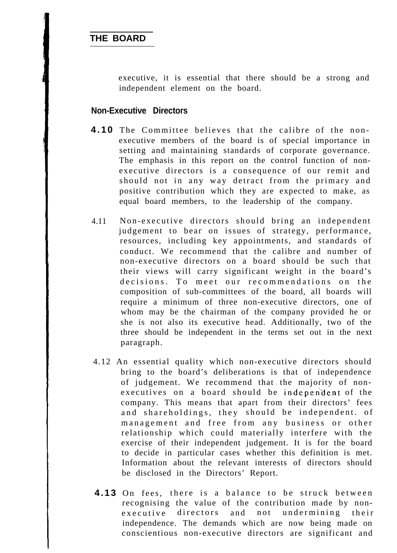executive, it is essential that there should be a strong and independent element on the board.

#### **Non-Executive Directors**

- **4.10** The Committee believes that the calibre of the nonexecutive members of the board is of special importance in setting and maintaining standards of corporate governance. The emphasis in this report on the control function of nonexecutive directors is a consequence of our remit and should not in any way detract from the primary and positive contribution which they are expected to make, as equal board members, to the leadership of the company.
- 4.11 Non-executive directors should bring an independent judgement to bear on issues of strategy, performance, resources, including key appointments, and standards of conduct. We recommend that the calibre and number of non-executive directors on a board should be such that their views will carry significant weight in the board's decisions. To meet our recommendations on the composition of sub-committees of the board, all boards will require a minimum of three non-executive directors, one of whom may be the chairman of the company provided he or she is not also its executive head. Additionally, two of the three should be independent in the terms set out in the next paragraph.
- 4.12 An essential quality which non-executive directors should bring to the board's deliberations is that of independence of judgement. We recommend that the majority of nonexecutives on a board should be indepen'dent of the company. This means that apart from their directors' fees and shareholdings, they should be independent. of management and free from any business or other relationship which could materially interfere with the exercise of their independent judgement. It is for the board to decide in particular cases whether this definition is met. Information about the relevant interests of directors should be disclosed in the Directors' Report.
- **4.13** On fees, there is a balance to be struck between recognising the value of the contribution made by nonexecutive directors and not undermining their independence. The demands which are now being made on conscientious non-executive directors are significant and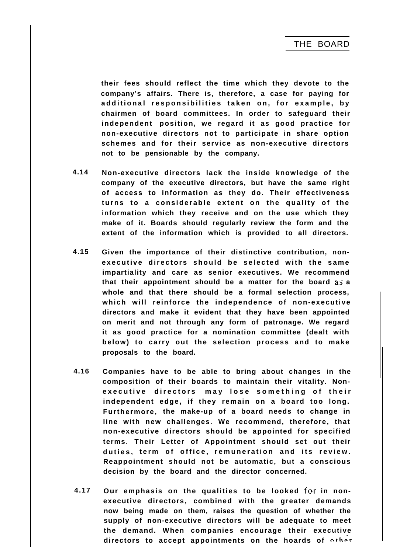**their fees should reflect the time which they devote to the company's affairs. There is, therefore, a case for paying for additional responsibilities taken on, for example, by chairmen of board committees. In order to safeguard their independent position, we regard it as good practice for non-executive directors not to participate in share option schemes and for their service as non-executive directors not to be pensionable by the company.**

- **4.14 Non-executive directors lack the inside knowledge of the company of the executive directors, but have the same right of access to information as they do. Their effectiveness turns to a considerable extent on the quality of the information which they receive and on the use which they make of it. Boards should regularly review the form and the extent of the information which is provided to all directors.**
- **4.15 Given the importance of their distinctive contribution, nonexecutive directors should be selected with the same impartiality and care as senior executives. We recommend that their appointment should be a matter for the board as a whole and that there should be a formal selection process, which will reinforce the independence of non-executive directors and make it evident that they have been appointed on merit and not through any form of patronage. We regard it as good practice for a nomination committee (dealt with below) to carry out the selection process and to make proposals to the board.**
- **4.16 Companies have to be able to bring about changes in the composition of their boards to maintain their vitality. Nonexecutive directors may lose something of their independent edge, if they remain on a board too long. Furthermore, the make-up of a board needs to change in line with new challenges. We recommend, therefore, that non-executive directors should be appointed for specified terms. Their Letter of Appointment should set out their duties, term of office, remuneration and its review. Reappointment should not be automatic, but a conscious decision by the board and the director concerned.**
- **4.17** Our emphasis on the qualities to be looked for in non**executive directors, combined with the greater demands now being made on them, raises the question of whether the supply of non-executive directors will be adequate to meet the demand. When companies encourage their executive** directors to accept appointments on the hoards of other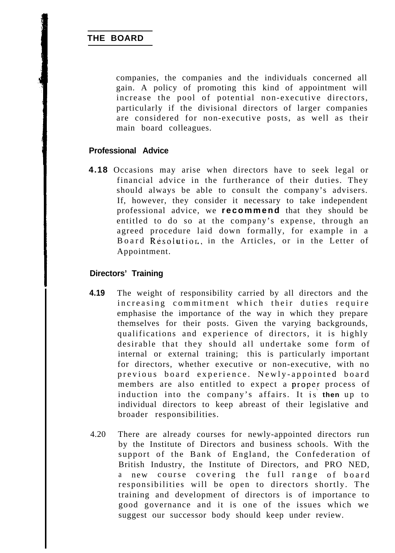companies, the companies and the individuals concerned all gain. A policy of promoting this kind of appointment will increase the pool of potential non-executive directors, particularly if the divisional directors of larger companies are considered for non-executive posts, as well as their main board colleagues.

#### **Professional Advice**

**4.18** Occasions may arise when directors have to seek legal or financial advice in the furtherance of their duties. They should always be able to consult the company's advisers. If, however, they consider it necessary to take independent professional advice, we **recommend** that they should be entitled to do so at the company's expense, through an agreed procedure laid down formally, for example in a Board Resolutiot;, in the Articles, or in the Letter of Appointment.

#### **Directors' Training**

- **4.19** The weight of responsibility carried by all directors and the increasing commitment which their duties require emphasise the importance of the way in which they prepare themselves for their posts. Given the varying backgrounds, qualifications and experience of directors, it is highly desirable that they should all undertake some form of internal or external training; this is particularly important for directors, whether executive or non-executive, with no previous board experience. Newly-appointed board members are also entitled to expect a proper process of induction into the company's affairs. It is then up to individual directors to keep abreast of their legislative and broader responsibilities.
- 4.20 There are already courses for newly-appointed directors run by the Institute of Directors and business schools. With the support of the Bank of England, the Confederation of British Industry, the Institute of Directors, and PRO NED, a new course covering the full range of board responsibilities will be open to directors shortly. The training and development of directors is of importance to good governance and it is one of the issues which we suggest our successor body should keep under review.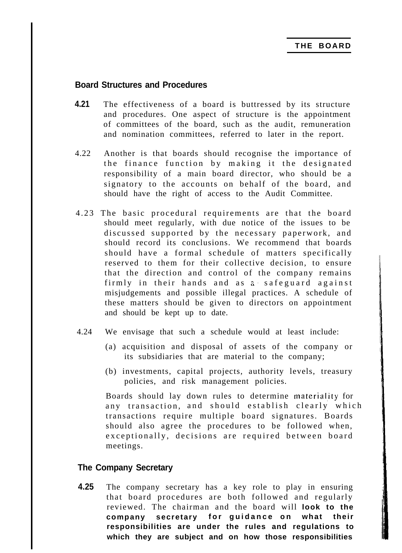#### **Board Structures and Procedures**

- **4.21** The effectiveness of a board is buttressed by its structure and procedures. One aspect of structure is the appointment of committees of the board, such as the audit, remuneration and nomination committees, referred to later in the report.
- 4.22 Another is that boards should recognise the importance of the finance function by making it the designated responsibility of a main board director, who should be a signatory to the accounts on behalf of the board, and should have the right of access to the Audit Committee.
- 4.23 The basic procedural requirements are that the board should meet regularly, with due notice of the issues to be discussed supported by the necessary paperwork, and should record its conclusions. We recommend that boards should have a formal schedule of matters specifically reserved to them for their collective decision, to ensure that the direction and control of the company remains firmly in their hands and as a safeguard against misjudgements and possible illegal practices. A schedule of these matters should be given to directors on appointment and should be kept up to date.
- 4.24 We envisage that such a schedule would at least include:
	- (a) acquisition and disposal of assets of the company or its subsidiaries that are material to the company;
	- (b) investments, capital projects, authority levels, treasury policies, and risk management policies.

Boards should lay down rules to determine materiality for any transaction, and should establish clearly which transactions require multiple board signatures. Boards should also agree the procedures to be followed when, exceptionally, decisions are required between board meetings.

#### **The Company Secretary**

**4.25** The company secretary has a key role to play in ensuring that board procedures are both followed and regularly reviewed. The chairman and the board will **look to the company secretary for guidance on what their responsibilities are under the rules and regulations to which they are subject and on how those responsibilities**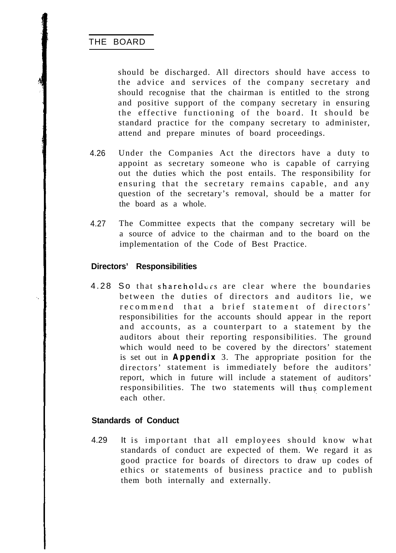should be discharged. All directors should have access to the advice and services of the company secretary and should recognise that the chairman is entitled to the strong and positive support of the company secretary in ensuring the effective functioning of the board. It should be standard practice for the company secretary to administer, attend and prepare minutes of board proceedings.

- 4.26 Under the Companies Act the directors have a duty to appoint as secretary someone who is capable of carrying out the duties which the post entails. The responsibility for ensuring that the secretary remains capable, and any question of the secretary's removal, should be a matter for the board as a whole.
- 4.27 The Committee expects that the company secretary will be a source of advice to the chairman and to the board on the implementation of the Code of Best Practice.

#### **Directors' Responsibilities**

4.28 So that shareholders are clear where the boundaries between the duties of directors and auditors lie, we recommend that a brief statement of directors' responsibilities for the accounts should appear in the report and accounts, as a counterpart to a statement by the auditors about their reporting responsibilities. The ground which would need to be covered by the directors' statement is set out in *Appendix* 3. The appropriate position for the directors' statement is immediately before the auditors' report, which in future will include a statement of auditors' responsibilities. The two statements will thus complement each other.

#### **Standards of Conduct**

4.29 It is important that all employees should know what standards of conduct are expected of them. We regard it as good practice for boards of directors to draw up codes of ethics or statements of business practice and to publish them both internally and externally.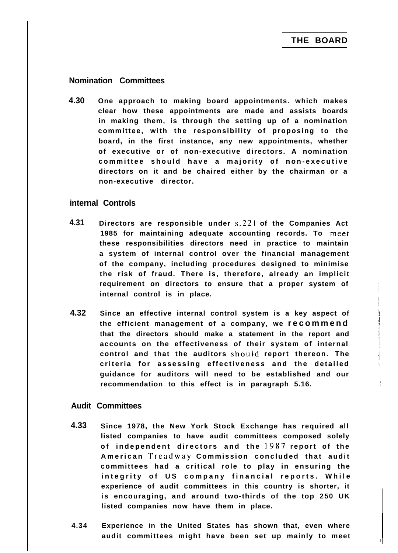#### **Nomination Committees**

**4.30 One approach to making board appointments. which makes clear how these appointments are made and assists boards in making them, is through the setting up of a nomination committee, with the responsibility of proposing to the board, in the first instance, any new appointments, whether of executive or of non-executive directors. A nomination committee should have a majority of non-executive directors on it and be chaired either by the chairman or a non-executive director.**

#### **internal Controls**

- **4.31 Directors are responsible under s.221 of the Companies Act 1985 for maintaining adequate accounting records. To meet these responsibilities directors need in practice to maintain a system of internal control over the financial management of the company, including procedures designed to minimise the risk of fraud. There is, therefore, already an implicit requirement on directors to ensure that a proper system of internal control is in place.**
- **4.32 Since an effective internal control system is a key aspect of the efficient management of a company, we recommend that the directors should make a statement in the report and accounts on the effectiveness of their system of internal** control and that the auditors should report thereon. The **criteria for assessing effectiveness and the detailed guidance for auditors will need to be established and our recommendation to this effect is in paragraph 5.16.**

#### **Audit Committees**

- **4.33 Since 1978, the New York Stock Exchange has required all listed companies to have audit committees composed solely of independent directors and the 1987 report of the American Treadway Commission concluded that audit committees had a critical role to play in ensuring the integrity of US company financial reports. While experience of audit committees in this country is shorter, it is encouraging, and around two-thirds of the top 250 UK listed companies now have them in place.**
- **4.34 Experience in the United States has shown that, even where audit committees might have been set up mainly to meet**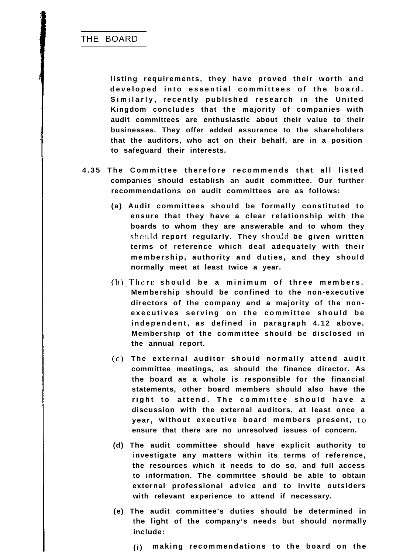**listing requirements, they have proved their worth and developed into essential committees of the board. Similarly, recently published research in the United Kingdom concludes that the majority of companies with audit committees are enthusiastic about their value to their businesses. They offer added assurance to the shareholders that the auditors, who act on their behalf, are in a position to safeguard their interests.**

- **4.35 The Committee therefore recommends that all listed companies should establish an audit committee. Our further recommendations on audit committees are as follows:**
	- **(a) Audit committees should be formally constituted to ensure that they have a clear relationship with the boards to whom they are answerable and to whom they** should report regularly. They should be given written **terms of reference which deal adequately with their membership, authority and duties, and they should normally meet at least twice a year.**
	- **(b) .There should be a minimum of three members. Membership should be confined to the non-executive directors of the company and a majority of the nonexecutives serving on the committee should be independent, as defined in paragraph 4.12 above. Membership of the committee should be disclosed in the annual report.**
	- (cl **The external auditor should normally attend audit committee meetings, as should the finance director. As the board as a whole is responsible for the financial statements, other board members should also have the right to attend. The committee should have a discussion with the external auditors, at least once a vear, without executive board members present, to ensure that there are no unresolved issues of concern.**
	- **(d) The audit committee should have explicit authority to investigate any matters within its terms of reference, the resources which it needs to do so, and full access to information. The committee should be able to obtain external professional advice and to invite outsiders with relevant experience to attend if necessary.**
	- **(e) The audit committee's duties should be determined in the light of the company's needs but should normally include:**
		- **(i) making recommendations to the board on the**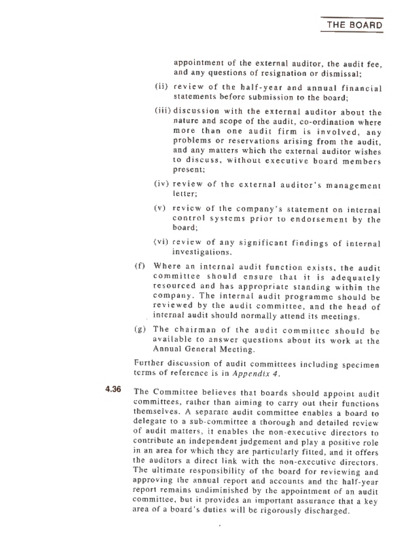appointment of the external auditor, the audit fee, and any questions of resignation or dismissal;

- (ii) review of the half-year and annual financial statements before submission to the board;
- (iii) discussion with the external auditor about the nature and scope of the audit, co-ordination where more than one audit firm is involved, any problems or reservations arising from the audit. and any matters which the external auditor wishes to discuss, without executive board members present:
- (iv) review of the external auditor's management letter:
- (v) review of the company's statement on internal control systems prior to endorsement by the board;
- (vi) review of any significant findings of internal investigations.
- (f) Where an internal audit function exists, the audit committee should ensure that it is adequately resourced and has appropriate standing within the company. The internal audit programme should be reviewed by the audit committee, and the head of internal audit should normally attend its meetings.
- (g) The chairman of the audit committee should be available to answer questions about its work at the Annual General Meeting.

Further discussion of audit committees including specimen terms of reference is in Appendix 4.

4.36 The Committee believes that boards should appoint audit committees, rather than aiming to carry out their functions themselves. A separate audit committee enables a board to delegate to a sub-committee a thorough and detailed review of audit matters, it enables the non-executive directors to contribute an independent judgement and play a positive role in an area for which they are particularly fitted, and it offers the auditors a direct link with the non-executive directors. The ultimate responsibility of the board for reviewing and approving the annual report and accounts and the half-year report remains undiminished by the appointment of an audit committee, but it provides an important assurance that a key area of a board's duties will be rigorously discharged.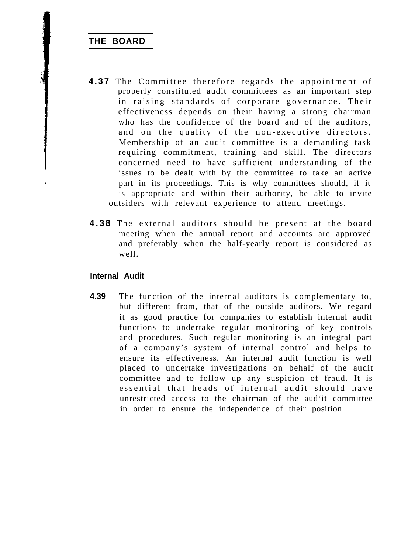- **4.37** The Committee therefore regards the appointment of properly constituted audit committees as an important step in raising standards of corporate governance. Their effectiveness depends on their having a strong chairman who has the confidence of the board and of the auditors, and on the quality of the non-executive directors. Membership of an audit committee is a demanding task requiring commitment, training and skill. The directors concerned need to have sufficient understanding of the issues to be dealt with by the committee to take an active part in its proceedings. This is why committees should, if it is appropriate and within their authority, be able to invite outsiders with relevant experience to attend meetings.
- **4.38** The external auditors should be present at the board meeting when the annual report and accounts are approved and preferably when the half-yearly report is considered as well.

#### **Internal Audit**

**4.39** The function of the internal auditors is complementary to, but different from, that of the outside auditors. We regard it as good practice for companies to establish internal audit functions to undertake regular monitoring of key controls and procedures. Such regular monitoring is an integral part of a company's system of internal control and helps to ensure its effectiveness. An internal audit function is well placed to undertake investigations on behalf of the audit committee and to follow up any suspicion of fraud. It is essential that heads of internal audit should have unrestricted access to the chairman of the aud'it committee in order to ensure the independence of their position.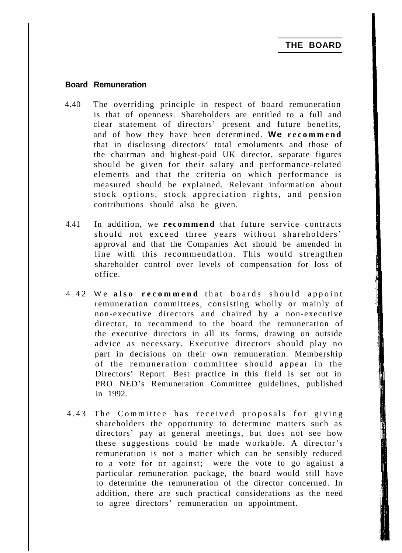#### **Board Remuneration**

- 4.40 The overriding principle in respect of board remuneration is that of openness. Shareholders are entitled to a full and clear statement of directors' present and future benefits, and of how they have been determined. **We recommend** that in disclosing directors' total emoluments and those of the chairman and highest-paid UK director, separate figures should be given for their salary and performance-related elements and that the criteria on which performance is measured should be explained. Relevant information about stock options, stock appreciation rights, and pension contributions should also be given.
- 4.41 In addition, we **recommend** that future service contracts should not exceed three years without shareholders' approval and that the Companies Act should be amended in line with this recommendation. This would strengthen shareholder control over levels of compensation for loss of office.
- 4.42 We **also recommend** that boards should appoint remuneration committees, consisting wholly or mainly of non-executive directors and chaired by a non-executive director, to recommend to the board the remuneration of the executive directors in all its forms, drawing on outside advice as necessary. Executive directors should play no part in decisions on their own remuneration. Membership of the remuneration committee should appear in the Directors' Report. Best practice in this field is set out in PRO NED's Remuneration Committee guidelines, published in 1992.
- 4.43 The Committee has received proposals for giving shareholders the opportunity to determine matters such as directors' pay at general meetings, but does not see how these suggestions could be made workable. A director's remuneration is not a matter which can be sensibly reduced to a vote for or against; were the vote to go against a particular remuneration package, the board would still have to determine the remuneration of the director concerned. In addition, there are such practical considerations as the need to agree directors' remuneration on appointment.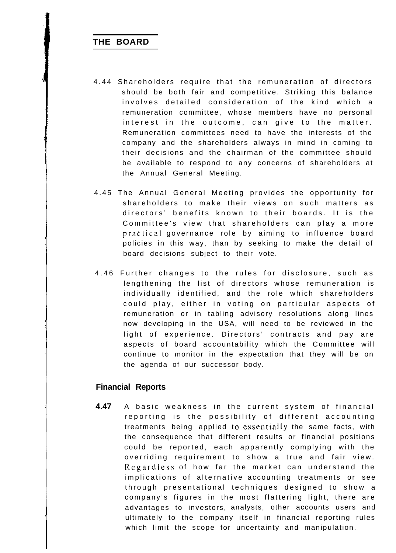- 4.44 Shareholders require that the remuneration of directors should be both fair and competitive. Striking this balance involves detailed consideration of the kind which a remuneration committee, whose members have no personal interest in the outcome, can give to the matter. Remuneration committees need to have the interests of the company and the shareholders always in mind in coming to their decisions and the chairman of the committee should be available to respond to any concerns of shareholders at the Annual General Meeting.
- 4.45 The Annual General Meeting provides the opportunity for shareholders to make their views on such matters as directors' benefits known to their boards. It is the Committee's view that shareholders can play a more practical governance role by aiming to influence board policies in this way, than by seeking to make the detail of board decisions subject to their vote.
- 4.46 Further changes to the rules for disclosure, such as lengthening the list of directors whose remuneration is individually identified, and the role which shareholders could play, either in voting on particular aspects of remuneration or in tabling advisory resolutions along lines now developing in the USA, will need to be reviewed in the light of experience. Directors' contracts and pay are aspects of board accountability which the Committee will continue to monitor in the expectation that they will be on the agenda of our successor body.

#### **Financial Reports**

**4.47** A basic weakness in the current system of financial reporting is the possibility of different accounting treatments being applied to essentially the same facts, with the consequence that different results or financial positions could be reported, each apparently complying with the overriding requirement to show a true and fair view. Regardless of how far the market can understand the implications of alternative accounting treatments or see through presentational techniques designed to show a company's figures in the most flattering light, there are advantages to investors, analysts, other accounts users and ultimately to the company itself in financial reporting rules which limit the scope for uncertainty and manipulation.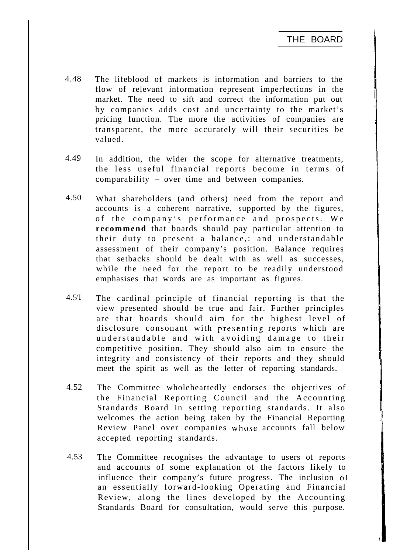- 4.48 The lifeblood of markets is information and barriers to the flow of relevant information represent imperfections in the market. The need to sift and correct the information put out by companies adds cost and uncertainty to the market's pricing function. The more the activities of companies are transparent, the more accurately will their securities be valued.
- 4.49 In addition, the wider the scope for alternative treatments, the less useful financial reports become in terms of comparability - over time and between companies.
- 4.50 What shareholders (and others) need from the report and accounts is a coherent narrative, supported by the figures, of the company's performance and prospects. We **recommend** that boards should pay particular attention to their duty to present a balance,: and understandable assessment of their company's position. Balance requires that setbacks should be dealt with as well as successes, while the need for the report to be readily understood emphasises that words are as important as figures.
- 4.5**'1** The cardinal principle of financial reporting is that the view presented should be true and fair. Further principles are that boards should aim for the highest level of disclosure consonant with presenting reports which are understandable and with avoiding damage to their competitive position. They should also aim to ensure the integrity and consistency of their reports and they should meet the spirit as well as the letter of reporting standards.
- 4.52 The Committee wholeheartedly endorses the objectives of the Financial Reporting Council and the Accounting Standards Board in setting reporting standards. It also welcomes the action being taken by the Financial Reporting Review Panel over companies whose accounts fall below accepted reporting standards.
- 4.53 The Committee recognises the advantage to users of reports and accounts of some explanation of the factors likely to influence their company's future progress. The inclusion 01 an essentially forward-looking Operating and Financial Review, along the lines developed by the Accounting Standards Board for consultation, would serve this purpose.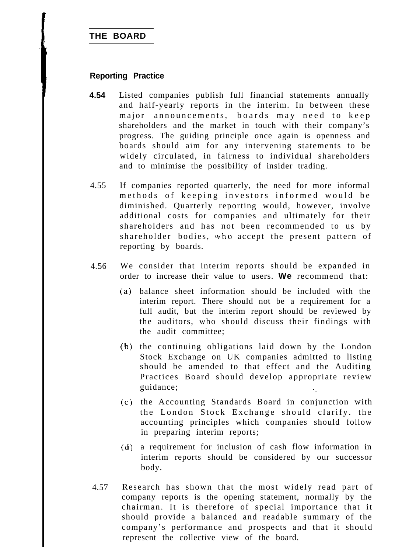#### **Reporting Practice**

- **4.54** Listed companies publish full financial statements annually and half-yearly reports in the interim. In between these major announcements, boards may need to keep shareholders and the market in touch with their company's progress. The guiding principle once again is openness and boards should aim for any intervening statements to be widely circulated, in fairness to individual shareholders and to minimise the possibility of insider trading.
- 4.55 If companies reported quarterly, the need for more informal methods of keeping investors informed would be diminished. Quarterly reporting would, however, involve additional costs for companies and ultimately for their shareholders and has not been recommended to us by shareholder bodies, who accept the present pattern of reporting by boards.
- 4.56 We consider that interim reports should be expanded in order to increase their value to users. **We** recommend that:
	- (a) balance sheet information should be included with the interim report. There should not be a requirement for a full audit, but the interim report should be reviewed by the auditors, who should discuss their findings with the audit committee;
	- (b) the continuing obligations laid down by the London Stock Exchange on UK companies admitted to listing should be amended to that effect and the Auditing Practices Board should develop appropriate review guidance;
	- (c) the Accounting Standards Board in conjunction with the London Stock Exchange should clarify. the accounting principles which companies should follow in preparing interim reports;
	- Cd) a requirement for inclusion of cash flow information in interim reports should be considered by our successor body.
- 4.57 Research has shown that the most widely read part of company reports is the opening statement, normally by the chairman. It is therefore of special importance that it should provide a balanced and readable summary of the company's performance and prospects and that it should represent the collective view of the board.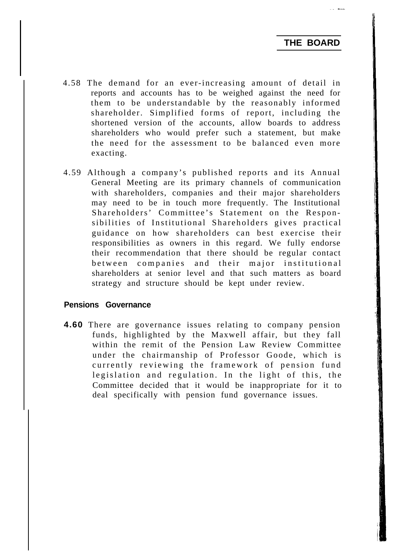- 4.58 The demand for an ever-increasing amount of detail in reports and accounts has to be weighed against the need for them to be understandable by the reasonably informed shareholder. Simplified forms of report, including the shortened version of the accounts, allow boards to address shareholders who would prefer such a statement, but make the need for the assessment to be balanced even more exacting.
- 4.59 Although a company's published reports and its Annual General Meeting are its primary channels of communication with shareholders, companies and their major shareholders may need to be in touch more frequently. The Institutional Shareholders' Committee's Statement on the Responsibilities of Institutional Shareholders gives practical guidance on how shareholders can best exercise their responsibilities as owners in this regard. We fully endorse their recommendation that there should be regular contact between companies and their major institutional shareholders at senior level and that such matters as board strategy and structure should be kept under review.

#### **Pensions Governance**

**4.60** There are governance issues relating to company pension funds, highlighted by the Maxwell affair, but they fall within the remit of the Pension Law Review Committee under the chairmanship of Professor Goode, which is currently reviewing the framework of pension fund legislation and regulation. In the light of this, the Committee decided that it would be inappropriate for it to deal specifically with pension fund governance issues.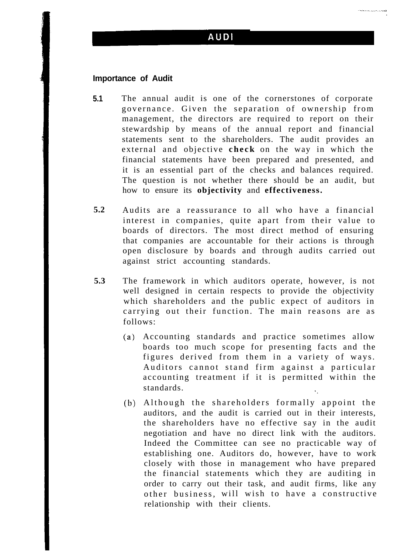## **AUDI**

*Channel County College* 

#### **Importance of Audit**

- **5.1** The annual audit is one of the cornerstones of corporate governance. Given the separation of ownership from management, the directors are required to report on their stewardship by means of the annual report and financial statements sent to the shareholders. The audit provides an external and objective **check** on the way in which the financial statements have been prepared and presented, and it is an essential part of the checks and balances required. The question is not whether there should be an audit, but how to ensure its **objectivity** and **effectiveness.**
- **5.2** Audits are a reassurance to all who have a financial interest in companies, quite apart from their value to boards of directors. The most direct method of ensuring that companies are accountable for their actions is through open disclosure by boards and through audits carried out against strict accounting standards.
- **5.3** The framework in which auditors operate, however, is not well designed in certain respects to provide the objectivity which shareholders and the public expect of auditors in carrying out their function. The main reasons are as follows:
	- (a) Accounting standards and practice sometimes allow boards too much scope for presenting facts and the figures derived from them in a variety of ways. Auditors cannot stand firm against a particular accounting treatment if it is permitted within the standards.
	- (b) Although the shareholders formally appoint the auditors, and the audit is carried out in their interests, the shareholders have no effective say in the audit negotiation and have no direct link with the auditors. Indeed the Committee can see no practicable way of establishing one. Auditors do, however, have to work closely with those in management who have prepared the financial statements which they are auditing in order to carry out their task, and audit firms, like any other business, will wish to have a constructive relationship with their clients.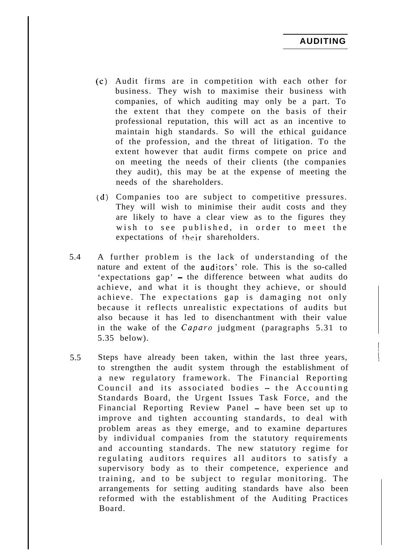- (c) Audit firms are in competition with each other for business. They wish to maximise their business with companies, of which auditing may only be a part. To the extent that they compete on the basis of their professional reputation, this will act as an incentive to maintain high standards. So will the ethical guidance of the profession, and the threat of litigation. To the extent however that audit firms compete on price and on meeting the needs of their clients (the companies they audit), this may be at the expense of meeting the needs of the shareholders.
- (d) Companies too are subject to competitive pressures. They will wish to minimise their audit costs and they are likely to have a clear view as to the figures they wish to see published, in order to meet the expectations of their shareholders.
- 5.4 A further problem is the lack of understanding of the nature and extent of the auditors' role. This is the so-called 'expectations gap' - the difference between what audits do achieve, and what it is thought they achieve, or should achieve. The expectations gap is damaging not only because it reflects unrealistic expectations of audits but also because it has led to disenchantment with their value in the wake of the *Caparo* judgment (paragraphs  $5.31$  to 5.35 below).
- 5.5 Steps have already been taken, within the last three years, to strengthen the audit system through the establishment of a new regulatory framework. The Financial Reporting Council and its associated bodies - the Accounting Standards Board, the Urgent Issues Task Force, and the Financial Reporting Review Panel – have been set up to improve and tighten accounting standards, to deal with problem areas as they emerge, and to examine departures by individual companies from the statutory requirements and accounting standards. The new statutory regime for regulating auditors requires all auditors to satisfy a supervisory body as to their competence, experience and training, and to be subject to regular monitoring. The arrangements for setting auditing standards have also been reformed with the establishment of the Auditing Practices Board.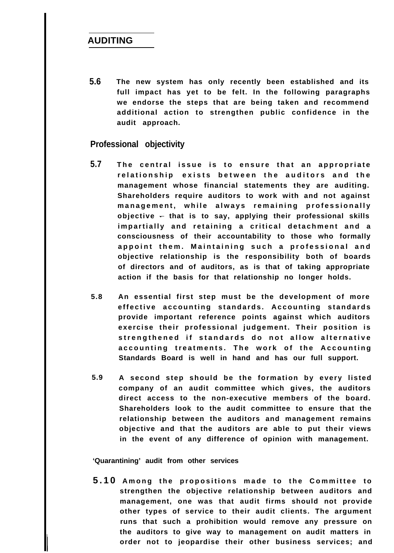### **AUDITING**

**5.6 The new system has only recently been established and its full impact has yet to be felt. In the following paragraphs we endorse the steps that are being taken and recommend additional action to strengthen public confidence in the audit approach.**

#### **Professional objectivity**

- **5.7 The central issue is to ensure that an appropriate relationship exists between the auditors and the management whose financial statements they are auditing. Shareholders require auditors to work with and not against management, while always remaining professionally objective - that is to say, applying their professional skills impartially and retaining a critical detachment and a consciousness of their accountability to those who formally appoint them. Maintaining such a professional and objective relationship is the responsibility both of boards of directors and of auditors, as is that of taking appropriate action if the basis for that relationship no longer holds.**
- **5.8 An essential first step must be the development of more effective accounting standards. Accounting standards provide important reference points against which auditors exercise their professional judgement. Their position is strengthened if standards do not allow alternative accounting treatments. The work of the Accounting Standards Board is well in hand and has our full support.**
- **5.9 A second step should be the formation by every listed company of an audit committee which gives, the auditors direct access to the non-executive members of the board. Shareholders look to the audit committee to ensure that the relationship between the auditors and management remains objective and that the auditors are able to put their views in the event of any difference of opinion with management.**

**'Quarantining' audit from other services**

**5.10 Among the propositions made to the Committee to strengthen the objective relationship between auditors and management, one was that audit firms should not provide other types of service to their audit clients. The argument runs that such a prohibition would remove any pressure on the auditors to give way to management on audit matters in order not to jeopardise their other business services; and**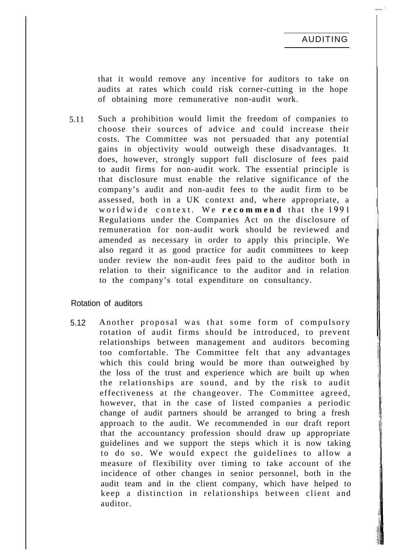that it would remove any incentive for auditors to take on audits at rates which could risk corner-cutting in the hope of obtaining more remunerative non-audit work.

5.11 Such a prohibition would limit the freedom of companies to choose their sources of advice and could increase their costs. The Committee was not persuaded that any potential gains in objectivity would outweigh these disadvantages. It does, however, strongly support full disclosure of fees paid to audit firms for non-audit work. The essential principle is that disclosure must enable the relative significance of the company's audit and non-audit fees to the audit firm to be assessed, both in a UK context and, where appropriate, a worldwide context. We **recommend** that the 1991 Regulations under the Companies Act on the disclosure of remuneration for non-audit work should be reviewed and amended as necessary in order to apply this principle. We also regard it as good practice for audit committees to keep under review the non-audit fees paid to the auditor both in relation to their significance to the auditor and in relation to the company's total expenditure on consultancy.

#### Rotation of auditors

5.12 Another proposal was that some form of compulsory rotation of audit firms should be introduced, to prevent relationships between management and auditors becoming too comfortable. The Committee felt that any advantages which this could bring would be more than outweighed by the loss of the trust and experience which are built up when the relationships are sound, and by the risk to audit effectiveness at the changeover. The Committee agreed, however, that in the case of listed companies a periodic change of audit partners should be arranged to bring a fresh approach to the audit. We recommended in our draft report that the accountancy profession should draw up appropriate guidelines and we support the steps which it is now taking to do so. We would expect the guidelines to allow a measure of flexibility over timing to take account of the incidence of other changes in senior personnel, both in the audit team and in the client company, which have helped to keep a distinction in relationships between client and auditor.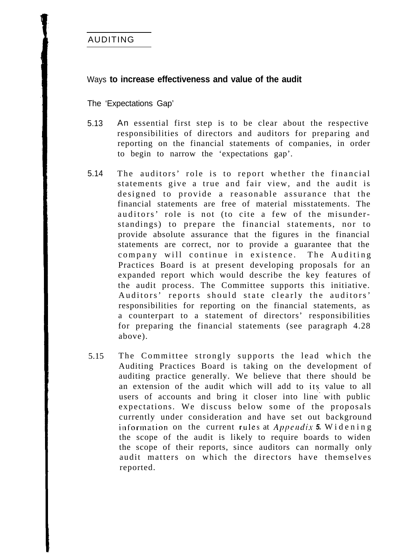# AUDITING

### Ways **to increase effectiveness and value of the audit**

The 'Expectations Gap'

- 5.13 An essential first step is to be clear about the respective responsibilities of directors and auditors for preparing and reporting on the financial statements of companies, in order to begin to narrow the 'expectations gap'.
- 5.14 The auditors' role is to report whether the financial statements give a true and fair view, and the audit is designed to provide a reasonable assurance that the financial statements are free of material misstatements. The auditors' role is not (to cite a few of the misunderstandings) to prepare the financial statements, nor to provide absolute assurance that the figures in the financial statements are correct, nor to provide a guarantee that the company will continue in existence. The Auditing Practices Board is at present developing proposals for an expanded report which would describe the key features of the audit process. The Committee supports this initiative. Auditors' reports should state clearly the auditors' responsibilities for reporting on the financial statements, as a counterpart to a statement of directors' responsibilities for preparing the financial statements (see paragraph 4.28 above).
- 5.15 The Committee strongly supports the lead which the Auditing Practices Board is taking on the development of auditing practice generally. We believe that there should be an extension of the audit which will add to its value to all users of accounts and bring it closer into line with public expectations. We discuss below some of the proposals currently under consideration and have set out background information on the current rules at *Appendix* 5. Widening the scope of the audit is likely to require boards to widen the scope of their reports, since auditors can normally only audit matters on which the directors have themselves reported.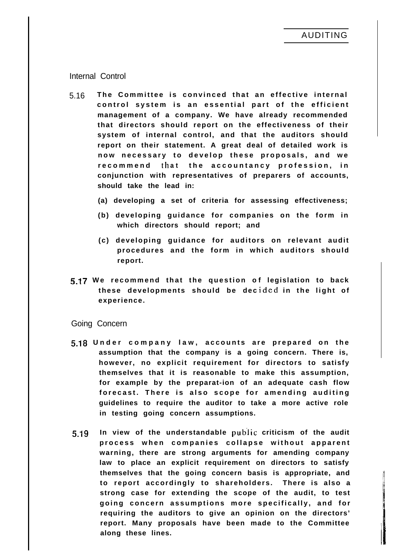Internal Control

- 5.16 **The Committee is convinced that an effective internal control system is an essential part of the efficient management of a company. We have already recommended that directors should report on the effectiveness of their system of internal control, and that the auditors should report on their statement. A great deal of detailed work is now necessary to develop these proposals, and we** recommend that the accountancy profession, in **conjunction with representatives of preparers of accounts, should take the lead in:**
	- **(a) developing a set of criteria for assessing effectiveness;**
	- **(b) developing guidance for companies on the form in which directors should report; and**
	- **(c) developing guidance for auditors on relevant audit procedures and the form in which auditors should report.**
- **5.17 We recommend that the question o f legislation to back these developments should be dec ided in the light of experience.**

Going Concern

- 5.16 **Under company law, accounts are prepared on the assumption that the company is a going concern. There is, however, no explicit requirement for directors to satisfy themselves that it is reasonable to make this assumption, for example by the preparat-ion of an adequate cash flow forecast. There is also scope for amending auditing guidelines to require the auditor to take a more active role in testing going concern assumptions.**
- **5.19 In view of the understandable pub'lic criticism of the audit process when companies collapse without apparent warning, there are strong arguments for amending company law to place an explicit requirement on directors to satisfy themselves that the going concern basis is appropriate, and to report accordingly to shareholders. There is also a strong case for extending the scope of the audit, to test going concern assumptions more specifically, and for requiring the auditors to give an opinion on the directors' report. Many proposals have been made to the Committee along these lines.**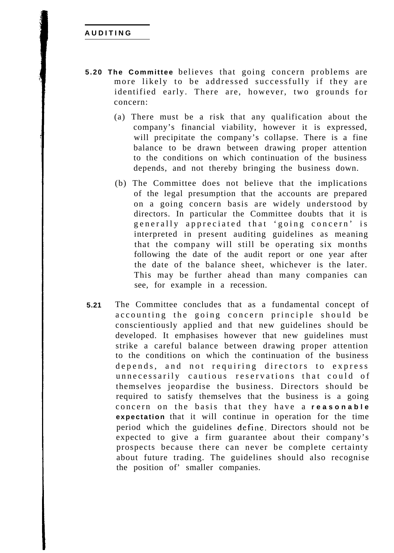- **5.20 The Committee** believes that going concern problems are more likely to be addressed successfully if they are identified early. There are, however, two grounds for concern:
	- (a) There must be a risk that any qualification about the company's financial viability, however it is expressed, will precipitate the company's collapse. There is a fine balance to be drawn between drawing proper attention to the conditions on which continuation of the business depends, and not thereby bringing the business down.
	- (b) The Committee does not believe that the implications of the legal presumption that the accounts are prepared on a going concern basis are widely understood by directors. In particular the Committee doubts that it is generally appreciated that 'going concern' is interpreted in present auditing guidelines as meaning that the company will still be operating six months following the date of the audit report or one year after the date of the balance sheet, whichever is the later. This may be further ahead than many companies can see, for example in a recession.
- **5.21** The Committee concludes that as a fundamental concept of accounting the going concern principle should be conscientiously applied and that new guidelines should be developed. It emphasises however that new guidelines must strike a careful balance between drawing proper attention to the conditions on which the continuation of the business depends, and not requiring directors to express unnecessarily cautious reservations that could of themselves jeopardise the business. Directors should be required to satisfy themselves that the business is a going concern on the basis that they have a **reasonable expectation** that it will continue in operation for the time period which the guidelines define. Directors should not be expected to give a firm guarantee about their company's prospects because there can never be complete certainty about future trading. The guidelines should also recognise the position of' smaller companies.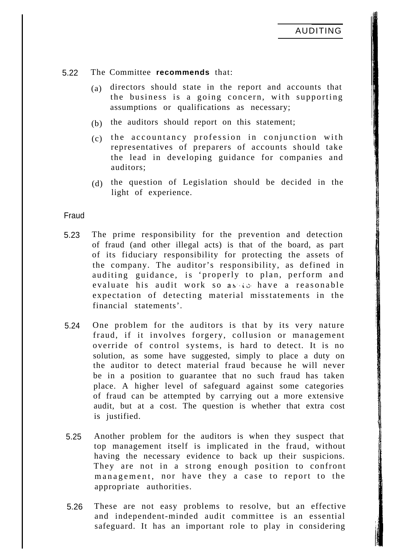#### 5.22 The Committee **recommends** that:

- (a) directors should state in the report and accounts that the business is a going concern, with supporting assumptions or qualifications as necessary;
- (b) the auditors should report on this statement;
- (c) the accountancy profession in conjunction with representatives of preparers of accounts should take the lead in developing guidance for companies and auditors;
- (d) the question of Legislation should be decided in the light of experience.

#### Fraud

- 5.23 The prime responsibility for the prevention and detection of fraud (and other illegal acts) is that of the board, as part of its fiduciary responsibility for protecting the assets of the company. The auditor's responsibility, as defined in auditing guidance, is 'properly to plan, perform and evaluate his audit work so as is have a reasonable expectation of detecting material misstatements in the financial statements'.
- 5.24 One problem for the auditors is that by its very nature fraud, if it involves forgery, collusion or management override of control systems, is hard to detect. It is no solution, as some have suggested, simply to place a duty on the auditor to detect material fraud because he will never be in a position to guarantee that no such fraud has taken place. A higher level of safeguard against some categories of fraud can be attempted by carrying out a more extensive audit, but at a cost. The question is whether that extra cost is justified.
- 5.25 Another problem for the auditors is when they suspect that top management itself is implicated in the fraud, without having the necessary evidence to back up their suspicions. They are not in a strong enough position to confront management, nor have they a case to report to the appropriate authorities.
- 5.26 These are not easy problems to resolve, but an effective and independent-minded audit committee is an essential safeguard. It has an important role to play in considering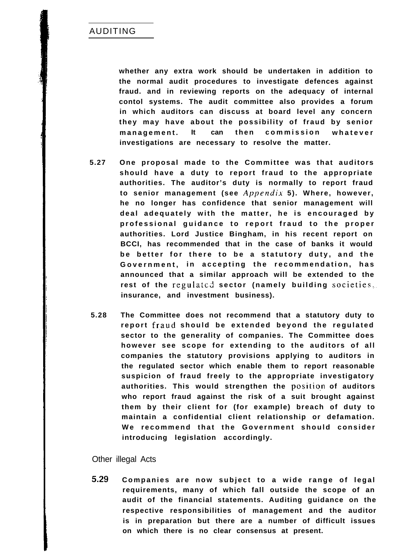#### **<sup>B</sup>** AUDITING

**whether any extra work should be undertaken in addition to the normal audit procedures to investigate defences against fraud. and in reviewing reports on the adequacy of internal contol systems. The audit committee also provides a forum in which auditors can discuss at board level any concern they may have about the possibility of fraud by senior management. It can then commission whatever investigations are necessary to resolve the matter.**

- **5.27 One proposal made to the Committee was that auditors should have a duty to report fraud to the appropriate authorities. The auditor's duty is normally to report fraud to senior management (see Appendix 5). Where, however, he no longer has confidence that senior management will deal adequately with the matter, he is encouraged by professional guidance to report fraud to the proper authorities. Lord Justice Bingham, in his recent report on BCCI, has recommended that in the case of banks it would be better for there to be a statutory duty, and the Government, in accepting the recommendation, has announced that a similar approach will be extended to the** rest of the regulated sector (namely building societies... **insurance, and investment business).**
- **5.28 The Committee does not recommend that a statutory duty to** report fraud should be extended beyond the regulated **sector to the generality of companies. The Committee does however see scope for extending to the auditors of all companies the statutory provisions applying to auditors in the regulated sector which enable them to report reasonable suspicion of fraud freely to the appropriate investigatory** authorities. This would strengthen the position of auditors **who report fraud against the risk of a suit brought against them by their client for (for example) breach of duty to maintain a confidential client relationship or defamation. We recommend that the Government should consider introducing legislation accordingly.**

Other illegal Acts

5.29 **Companies are now subject to a wide range of legal requirements, many of which fall outside the scope of an audit of the financial statements. Auditing guidance on the respective responsibilities of management and the auditor is in preparation but there are a number of difficult issues on which there is no clear consensus at present.**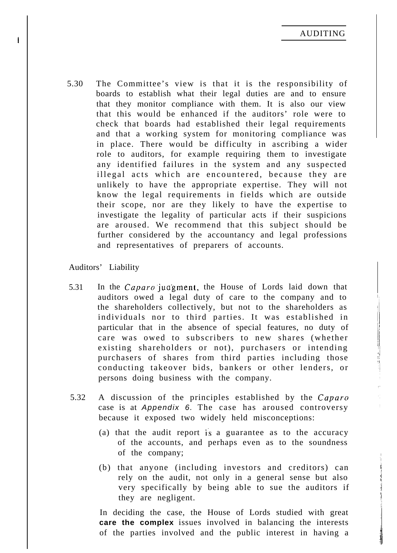5.30 The Committee's view is that it is the responsibility of boards to establish what their legal duties are and to ensure that they monitor compliance with them. It is also our view that this would be enhanced if the auditors' role were to check that boards had established their legal requirements and that a working system for monitoring compliance was in place. There would be difficulty in ascribing a wider role to auditors, for example requiring them to investigate any identified failures in the system and any suspected illegal acts which are encountered, because they are unlikely to have the appropriate expertise. They will not know the legal requirements in fields which are outside their scope, nor are they likely to have the expertise to investigate the legality of particular acts if their suspicions are aroused. We recommend that this subject should be further considered by the accountancy and legal professions and representatives of preparers of accounts.

Auditors' Liability

- 5.31 In the Caparo juagment, the House of Lords laid down that auditors owed a legal duty of care to the company and to the shareholders collectively, but not to the shareholders as individuals nor to third parties. It was established in particular that in the absence of special features, no duty of care was owed to subscribers to new shares (whether existing shareholders or not), purchasers or intending purchasers of shares from third parties including those conducting takeover bids, bankers or other lenders, or persons doing business with the company.
- 5.32 A discussion of the principles established by the Caparo case is at *Appendix 6.* The case has aroused controversy because it exposed two widely held misconceptions:
	- (a) that the audit report is a guarantee as to the accuracy of the accounts, and perhaps even as to the soundness of the company;
	- (b) that anyone (including investors and creditors) can rely on the audit, not only in a general sense but also very specifically by being able to sue the auditors if they are negligent.

In deciding the case, the House of Lords studied with great **care the complex** issues involved in balancing the interests of the parties involved and the public interest in having a

I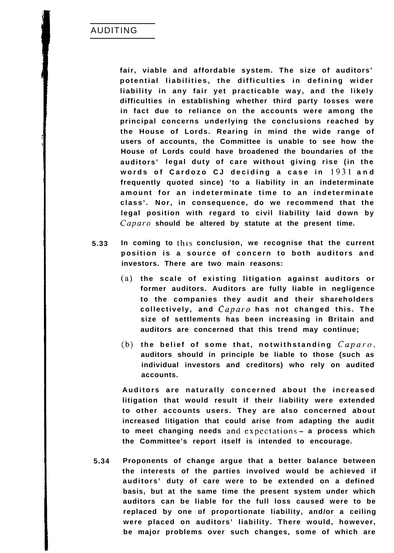#### AUDITING

**fair, viable and affordable system. The size of auditors' potential liabilities, the difficulties in defining wider liability in any fair yet practicable way, and the likely difficulties in establishing whether third party losses were in fact due to reliance on the accounts were among the principal concerns underlying the conclusions reached by the House of Lords. Rearing in mind the wide range of users of accounts, the Committee is unable to see how the House of Lords could have broadened the boundaries of the auditors' legal duty of care without giving rise (in the words of Cardozo CJ deciding a case in 1931 and frequently quoted since) 'to a liability in an indeterminate amount for an indeterminate time to an indeterminate class'. Nor, in consequence, do we recommend that the legal position with regard to civil liability laid down by** Caparo should be altered by statute at the present time.

- 5.33 In coming to this conclusion, we recognise that the current **position is a source of concern to both auditors and investors. There are two main reasons:**
	- (a) **the scale of existing litigation against auditors or former auditors. Auditors are fully liable in negligence to the companies they audit and their shareholders collectively, and Caparo has not changed this. The size of settlements has been increasing in Britain and auditors are concerned that this trend may continue;**
	- $\mathbf{b}(\mathbf{b})$  the belief of some that, notwithstanding  $Caparc_{\mathbf{a}}$ **auditors should in principle be liable to those (such as individual investors and creditors) who rely on audited accounts.**

**Auditors are naturally concerned about the increased litigation that would result if their liability were extended to other accounts users. They are also concerned about increased litigation that could arise from adapting the audit to meet changing needs and.expectations - a process which the Committee's report itself is intended to encourage.**

**5.34 Proponents of change argue that a better balance between the interests of the parties involved would be achieved if auditors' duty of care were to be extended on a defined basis, but at the same time the present system under which auditors can be liable for the full loss caused were to be replaced by one of proportionate liability, and/or a ceiling were placed on auditors' liability. There would, however, be major problems over such changes, some of which are**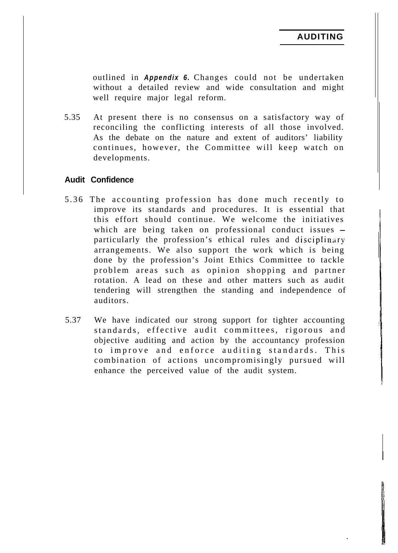outlined in *Appendix 6.* Changes could not be undertaken without a detailed review and wide consultation and might well require major legal reform.

5.35 At present there is no consensus on a satisfactory way of reconciling the conflicting interests of all those involved. As the debate on the nature and extent of auditors' liability continues, however, the Committee will keep watch on developments.

#### **Audit Confidence**

- 5.36 The accounting profession has done much recently to improve its standards and procedures. It is essential that this effort should continue. We welcome the initiatives which are being taken on professional conduct issues particularly the profession's ethical rules and disciplinary arrangements. We also support the work which is being done by the profession's Joint Ethics Committee to tackle problem areas such as opinion shopping and partner rotation. A lead on these and other matters such as audit tendering will strengthen the standing and independence of auditors.
- 5.37 We have indicated our strong support for tighter accounting standards, effective audit committees, rigorous and objective auditing and action by the accountancy profession to improve and enforce auditing standards. This combination of actions uncompromisingly pursued will enhance the perceived value of the audit system.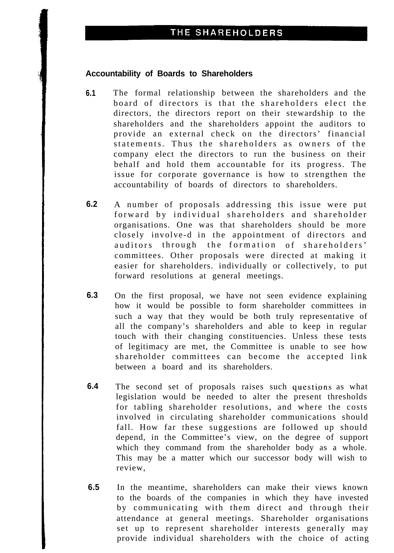#### **Accountability of Boards to Shareholders**

- **6.1** The formal relationship between the shareholders and the board of directors is that the shareholders elect the directors, the directors report on their stewardship to the shareholders and the shareholders appoint the auditors to provide an external check on the directors' financial statements. Thus the shareholders as owners of the company elect the directors to run the business on their behalf and hold them accountable for its progress. The issue for corporate governance is how to strengthen the accountability of boards of directors to shareholders.
- **6.2** A number of proposals addressing this issue were put forward by individual shareholders and shareholder organisations. One was that shareholders should be more closely involve-d in the appointment of directors and auditors through the formation of shareholders' committees. Other proposals were directed at making it easier for shareholders. individually or collectively, to put forward resolutions at general meetings.
- **6.3** On the first proposal, we have not seen evidence explaining how it would be possible to form shareholder committees in such a way that they would be both truly representative of all the company's shareholders and able to keep in regular touch with their changing constituencies. Unless these tests of legitimacy are met, the Committee is unable to see how shareholder committees can become the accepted link between a board and its shareholders.
- **6.4** The second set of proposals raises such questions as what legislation would be needed to alter the present thresholds for tabling shareholder resolutions, and where the costs involved in circulating shareholder communications should fall. How far these suggestions are followed up should depend, in the Committee's view, on the degree of support which they command from the shareholder body as a whole. This may be a matter which our successor body will wish to review,
- **6.5** In the meantime, shareholders can make their views known to the boards of the companies in which they have invested by communicating with them direct and through their attendance at general meetings. Shareholder organisations set up to represent shareholder interests generally may provide individual shareholders with the choice of acting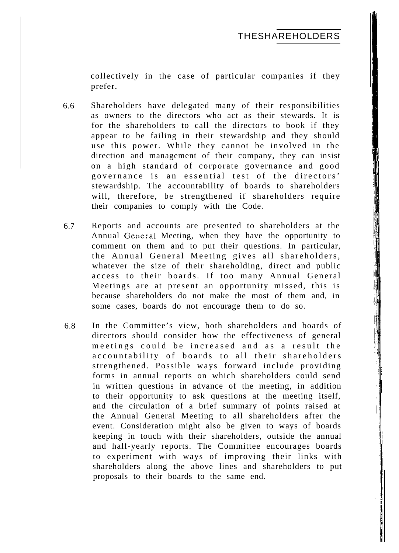collectively in the case of particular companies if they prefer.

- 6.6 Shareholders have delegated many of their responsibilities as owners to the directors who act as their stewards. It is for the shareholders to call the directors to book if they appear to be failing in their stewardship and they should use this power. While they cannot be involved in the direction and management of their company, they can insist on a high standard of corporate governance and good governance is an essential test of the directors' stewardship. The accountability of boards to shareholders will, therefore, be strengthened if shareholders require their companies to comply with the Code.
- 6.7 Reports and accounts are presented to shareholders at the Annual General Meeting, when they have the opportunity to comment on them and to put their questions. In particular, the Annual General Meeting gives all shareholders, whatever the size of their shareholding, direct and public access to their boards. If too many Annual General Meetings are at present an opportunity missed, this is because shareholders do not make the most of them and, in some cases, boards do not encourage them to do so.
- 6.8 In the Committee's view, both shareholders and boards of directors should consider how the effectiveness of general meetings could be increased and as a result the accountability of boards to all their shareholders strengthened. Possible ways forward include providing forms in annual reports on which shareholders could send in written questions in advance of the meeting, in addition to their opportunity to ask questions at the meeting itself, and the circulation of a brief summary of points raised at the Annual General Meeting to all shareholders after the event. Consideration might also be given to ways of boards keeping in touch with their shareholders, outside the annual and half-yearly reports. The Committee encourages boards to experiment with ways of improving their links with shareholders along the above lines and shareholders to put proposals to their boards to the same end.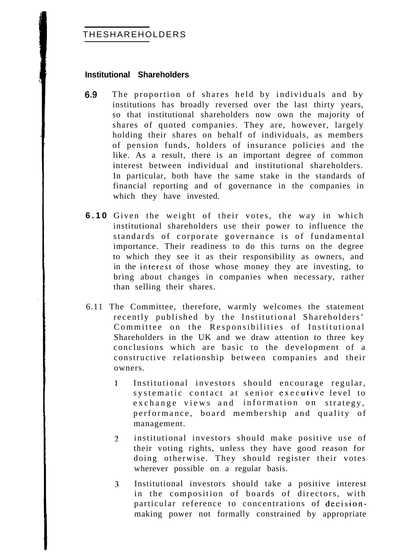# THESHAREHOLDERS

#### **Institutional Shareholders**

- 6.9 The proportion of shares held by individuals and by institutions has broadly reversed over the last thirty years, so that institutional shareholders now own the majority of shares of quoted companies. They are, however, largely holding their shares on behalf of individuals, as members of pension funds, holders of insurance policies and the like. As a result, there is an important degree of common interest between individual and institutional shareholders. In particular, both have the same stake in the standards of financial reporting and of governance in the companies in which they have invested.
- **6.10** Given the weight of their votes, the way in which institutional shareholders use their power to influence the standards of corporate governance is of fundamental importance. Their readiness to do this turns on the degree to which they see it as their responsibility as owners, and in the interest of those whose money they are investing, to bring about changes in companies when necessary, rather than selling their shares.
- 6.11 The Committee, therefore, warmly welcomes the statement recently published by the Institutional Shareholders' Committee on the Responsibilities of Institutional Shareholders in the UK and we draw attention to three key conclusions which are basic to the development of a constructive relationship between companies and their owners.
	- Institutional investors should encourage regular,  $\mathbf{1}$ systematic contact at senior executive level to exchange views and information on strategy, performance, board membership and quality of management.
	- institutional investors should make positive use of  $2^{\circ}$ their voting rights, unless they have good reason for doing otherwise. They should register their votes wherever possible on a regular basis.
	- Institutional investors should take a positive interest  $3<sup>1</sup>$ in the composition of boards of directors, with particular reference to concentrations of decisionmaking power not formally constrained by appropriate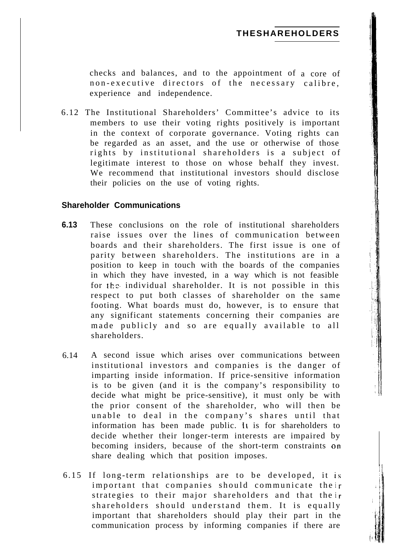checks and balances, and to the appointment of a core of non-executive directors of the necessary calibre, experience and independence.

6.12 The Institutional Shareholders' Committee's advice to its members to use their voting rights positively is important in the context of corporate governance. Voting rights can be regarded as an asset, and the use or otherwise of those rights by institutional shareholders is a subject of legitimate interest to those on whose behalf they invest. We recommend that institutional investors should disclose their policies on the use of voting rights.

#### **Shareholder Communications**

- **6.13** These conclusions on the role of institutional shareholders raise issues over the lines of communication between boards and their shareholders. The first issue is one of parity between shareholders. The institutions are in a position to keep in touch with the boards of the companies in which they have invested, in a way which is not feasible for the. individual shareholder. It is not possible in this respect to put both classes of shareholder on the same footing. What boards must do, however, is to ensure that any significant statements concerning their companies are made publicly and so are equally available to all shareholders.
- 6.14 A second issue which arises over communications between institutional investors and companies is the danger of imparting inside information. If price-sensitive information is to be given (and it is the company's responsibility to decide what might be price-sensitive), it must only be with the prior consent of the shareholder, who will then be unable to deal in the company's shares until that information has been made public. It is for shareholders to decide whether their longer-term interests are impaired by becoming insiders, because of the short-term constraints on share dealing which that position imposes.
- 6.15 If long-term relationships are to be developed, it is important that companies should communicate their strategies to their major shareholders and that the ir shareholders should understand them. It is equally important that shareholders should play their part in the communication process by informing companies if there are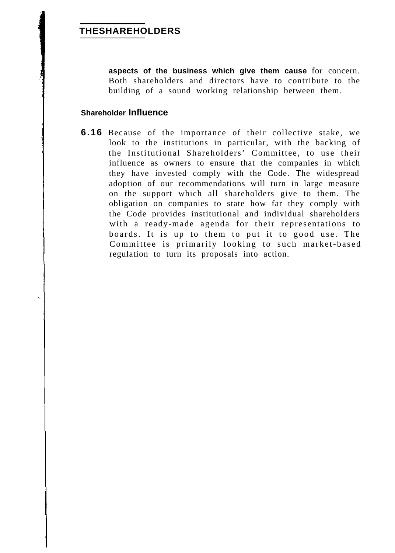# **THESHAREHOLDERS**

**aspects of the business which give them cause** for concern. Both shareholders and directors have to contribute to the building of a sound working relationship between them.

# **Shareholder Influence**

**6.16** Because of the importance of their collective stake, we look to the institutions in particular, with the backing of the Institutional Shareholders' Committee, to use their influence as owners to ensure that the companies in which they have invested comply with the Code. The widespread adoption of our recommendations will turn in large measure on the support which all shareholders give to them. The obligation on companies to state how far they comply with the Code provides institutional and individual shareholders with a ready-made agenda for their representations to boards. It is up to them to put it to good use. The Committee is primarily looking to such market-based regulation to turn its proposals into action.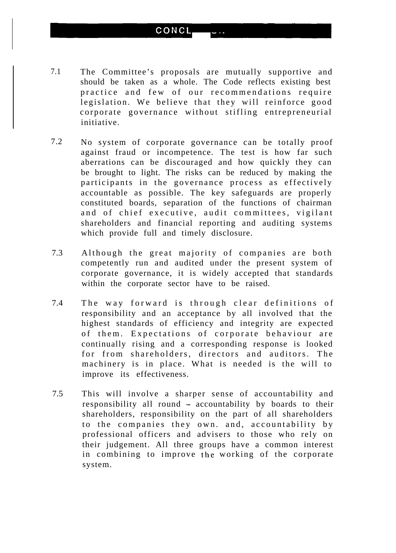# CONCL

- 
- 7.1 The Committee's proposals are mutually supportive and should be taken as a whole. The Code reflects existing best practice and few of our recommendations require legislation. We believe that they will reinforce good corporate governance without stifling entrepreneurial initiative.
- 7.2 No system of corporate governance can be totally proof against fraud or incompetence. The test is how far such aberrations can be discouraged and how quickly they can be brought to light. The risks can be reduced by making the participants in the governance process as effectively accountable as possible. The key safeguards are properly constituted boards, separation of the functions of chairman and of chief executive, audit committees, vigilant shareholders and financial reporting and auditing systems which provide full and timely disclosure.
- 7.3 Although the great majority of companies are both competently run and audited under the present system of corporate governance, it is widely accepted that standards within the corporate sector have to be raised.
- 7.4 The way forward is through clear definitions of responsibility and an acceptance by all involved that the highest standards of efficiency and integrity are expected of them. Expectations of corporate behaviour are continually rising and a corresponding response is looked for from shareholders, directors and auditors. The machinery is in place. What is needed is the will to improve its effectiveness.
- 7.5 This will involve a sharper sense of accountability and responsibility all round - accountability by boards to their shareholders, responsibility on the part of all shareholders to the companies they own. and, accountability by professional officers and advisers to those who rely on their judgement. All three groups have a common interest in combining to improve the working of the corporate system.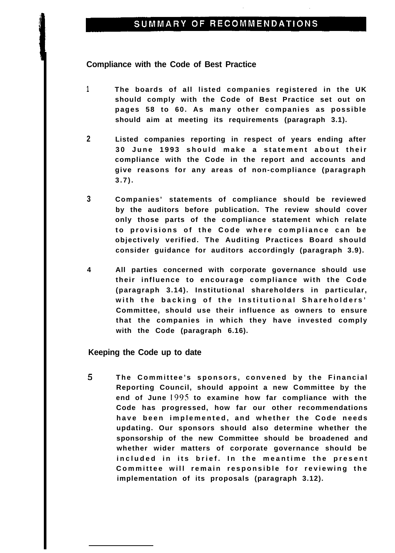# SUMMARY OF RECOMMENDATIONS

#### **Compliance with the Code of Best Practice**

- **<sup>1</sup> The boards of all listed companies registered in the UK should comply with the Code of Best Practice set out on pages 58 to 60. As many other companies as possible should aim at meeting its requirements (paragraph 3.1).**
- **2 Listed companies reporting in respect of years ending after 30 June 1993 should make a statement about their compliance with the Code in the report and accounts and give reasons for any areas of non-compliance (paragraph 3.7).**
- **3 Companies' statements of compliance should be reviewed by the auditors before publication. The review should cover only those parts of the compliance statement which relate to provisions of the Code where compliance can be objectively verified. The Auditing Practices Board should consider guidance for auditors accordingly (paragraph 3.9).**
- **4 All parties concerned with corporate governance should use their influence to encourage compliance with the Code (paragraph 3.14). Institutional shareholders in particular, with the backing of the Institutional Shareholders' Committee, should use their influence as owners to ensure that the companies in which they have invested comply with the Code (paragraph 6.16).**

#### **Keeping the Code up to date**

5 **The Committee's sponsors, convened by the Financial Reporting Council, should appoint a new Committee by the end of June 1995 to examine how far compliance with the Code has progressed, how far our other recommendations have been implemented, and whether the Code needs updating. Our sponsors should also determine whether the sponsorship of the new Committee should be broadened and whether wider matters of corporate governance should be included in its brief. In the meantime the present Committee will remain responsible for reviewing the implementation of its proposals (paragraph 3.12).**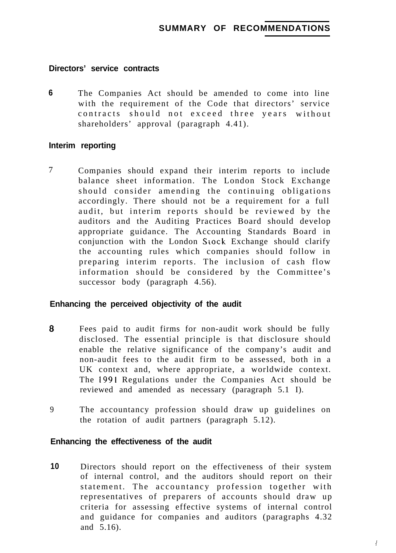#### **Directors' service contracts**

**6** The Companies Act should be amended to come into line with the requirement of the Code that directors' service contracts should not exceed three years without shareholders' approval (paragraph 4.41).

### **Interim reporting**

7 Companies should expand their interim reports to include balance sheet information. The London Stock Exchange should consider amending the continuing obligations accordingly. There should not be a requirement for a full audit, but interim reports should be reviewed by the auditors and the Auditing Practices Board should develop appropriate guidance. The Accounting Standards Board in conjunction with the London Stock Exchange should clarify the accounting rules which companies should follow in preparing interim reports. The inclusion of cash flow information should be considered by the Committee's successor body (paragraph 4.56).

### **Enhancing the perceived objectivity of the audit**

- 8 Fees paid to audit firms for non-audit work should be fully disclosed. The essential principle is that disclosure should enable the relative significance of the company's audit and non-audit fees to the audit firm to be assessed, both in a UK context and, where appropriate, a worldwide context. The 1991 Regulations under the Companies Act should be reviewed and amended as necessary (paragraph 5.1 I).
- 9 The accountancy profession should draw up guidelines on the rotation of audit partners (paragraph 5.12).

#### **Enhancing the effectiveness of the audit**

**10** Directors should report on the effectiveness of their system of internal control, and the auditors should report on their statement. The accountancy profession together with representatives of preparers of accounts should draw up criteria for assessing effective systems of internal control and guidance for companies and auditors (paragraphs 4.32 and 5.16).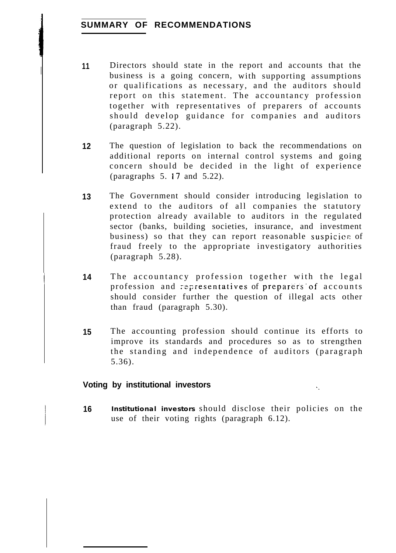# **SUMMARY OF RECOMMENDATIONS**

- **11** Directors should state in the report and accounts that the business is a going concern, with supporting assumptions or qualifications as necessary, and the auditors should report on this statement. The accountancy profession together with representatives of preparers of accounts should develop guidance for companies and auditors (paragraph 5.22).
- **12** The question of legislation to back the recommendations on additional reports on internal control systems and going concern should be decided in the light of experience (paragraphs 5. I7 and 5.22).
- **13** The Government should consider introducing legislation to extend to the auditors of all companies the statutory protection already available to auditors in the regulated sector (banks, building societies, insurance, and investment business) so that they can report reasonable suspicien of fraud freely to the appropriate investigatory authorities (paragraph 5.28).
- **14** The accountancy profession together with the legal profession and representatives of preparers of accounts should consider further the question of illegal acts other than fraud (paragraph 5.30).
- **15** The accounting profession should continue its efforts to improve its standards and procedures so as to strengthen the standing and independence of auditors (paragraph 5.36).

#### **Voting by institutional investors '\_**

**16 Institutional investors** should disclose their policies on the use of their voting rights (paragraph 6.12).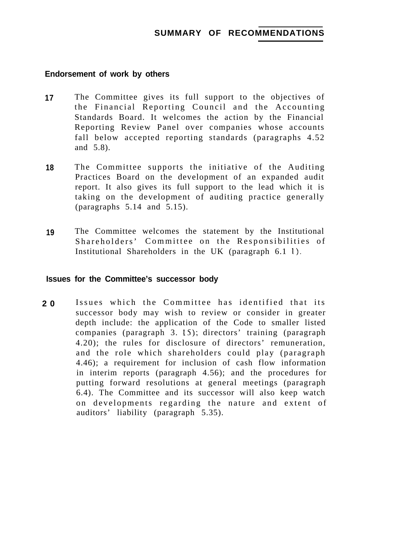#### **Endorsement of work by others**

- **17** The Committee gives its full support to the objectives of the Financial Reporting Council and the Accounting Standards Board. It welcomes the action by the Financial Reporting Review Panel over companies whose accounts fall below accepted reporting standards (paragraphs 4.52 and 5.8).
- **18** The Committee supports the initiative of the Auditing Practices Board on the development of an expanded audit report. It also gives its full support to the lead which it is taking on the development of auditing practice generally (paragraphs 5.14 and 5.15).
- **19** The Committee welcomes the statement by the Institutional Shareholders' Committee on the Responsibilities of Institutional Shareholders in the UK (paragraph 6.1 I).

#### **Issues for the Committee's successor body**

**2 0** Issues which the Committee has identified that its successor body may wish to review or consider in greater depth include: the application of the Code to smaller listed companies (paragraph 3. IS); directors' training (paragraph 4.20); the rules for disclosure of directors' remuneration, and the role which shareholders could play (paragraph 4.46); a requirement for inclusion of cash flow information in interim reports (paragraph 4.56); and the procedures for putting forward resolutions at general meetings (paragraph 6.4). The Committee and its successor will also keep watch on developments regarding the nature and extent of auditors' liability (paragraph 5.35).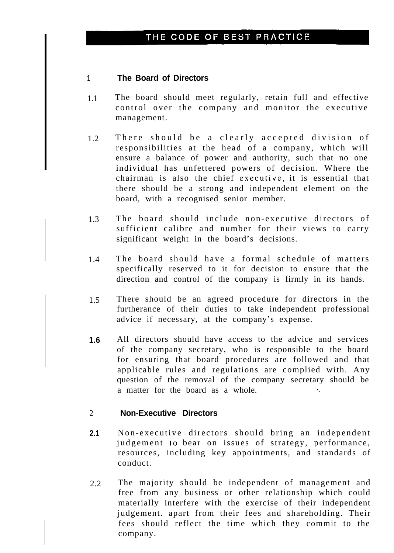# THE CODE OF BEST PRACTICE

### **<sup>1</sup> The Board of Directors**

- 1.1 The board should meet regularly, retain full and effective control over the company and monitor the executive management.
- 1.2 There should be a clearly accepted division of responsibilities at the head of a company, which will ensure a balance of power and authority, such that no one individual has unfettered powers of decision. Where the chairman is also the chief executive, it is essential that there should be a strong and independent element on the board, with a recognised senior member.
- 1.3 The board should include non-executive directors of sufficient calibre and number for their views to carry significant weight in the board's decisions.
- 1.4 The board should have a formal schedule of matters specifically reserved to it for decision to ensure that the direction and control of the company is firmly in its hands.
- 1.5 There should be an agreed procedure for directors in the furtherance of their duties to take independent professional advice if necessary, at the company's expense.
- **1.6** All directors should have access to the advice and services of the company secretary, who is responsible to the board for ensuring that board procedures are followed and that applicable rules and regulations are complied with. Any question of the removal of the company secretary should be a matter for the board as a whole.

### 2 **Non-Executive Directors**

- **2.1** Non-executive directors should bring an independent judgement to bear on issues of strategy, performance, resources, including key appointments, and standards of conduct.
- 2.2 The majority should be independent of management and free from any business or other relationship which could materially interfere with the exercise of their independent judgement. apart from their fees and shareholding. Their fees should reflect the time which they commit to the company.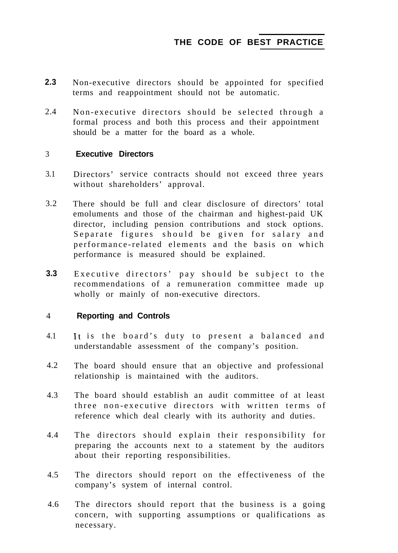- **2.3** Non-executive directors should be appointed for specified terms and reappointment should not be automatic.
- 2.4 Non-executive directors should be selected through a formal process and both this process and their appointment should be a matter for the board as a whole.

#### 3 **Executive Directors**

- 3.1 Directors' service contracts should not exceed three years without shareholders' approval.
- 3.2 There should be full and clear disclosure of directors' total emoluments and those of the chairman and highest-paid UK director, including pension contributions and stock options. Separate figures should be given for salary and performance-related elements and the basis on which performance is measured should be explained.
- **3.3** Executive directors' pay should be subject to the recommendations of a remuneration committee made up wholly or mainly of non-executive directors.

#### 4 **Reporting and Controls**

- 4.1 It is the board's duty to present a balanced and understandable assessment of the company's position.
- 4.2 The board should ensure that an objective and professional relationship is maintained with the auditors.
- 4.3 The board should establish an audit committee of at least three non-executive directors with written terms of reference which deal clearly with its authority and duties.
- 4.4 The directors should explain their responsibility for preparing the accounts next to a statement by the auditors about their reporting responsibilities.
- 4.5 The directors should report on the effectiveness of the company's system of internal control.
- 4.6 The directors should report that the business is a going concern, with supporting assumptions or qualifications as necessary.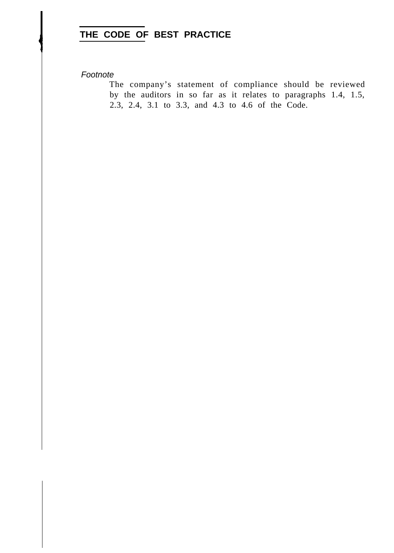# **THE CODE OF BEST PRACTICE**

*Footnote*

The company's statement of compliance should be reviewed by the auditors in so far as it relates to paragraphs 1.4, 1.5, 2.3, 2.4, 3.1 to 3.3, and 4.3 to 4.6 of the Code.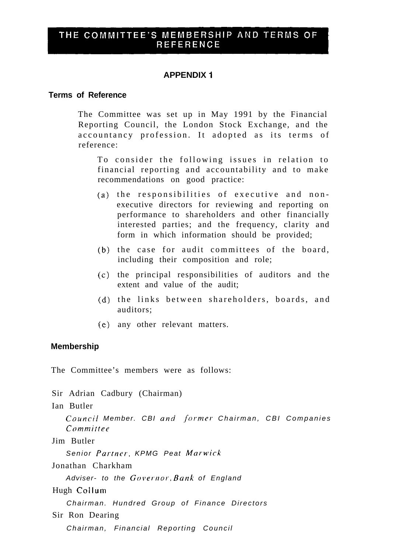### **APPENDIX 1**

#### **Terms of Reference**

The Committee was set up in May 1991 by the Financial Reporting Council, the London Stock Exchange, and the accountancy profession. It adopted as its terms of reference:

To consider the following issues in relation to financial reporting and accountability and to make recommendations on good practice:

- (a) the responsibilities of executive and nonexecutive directors for reviewing and reporting on performance to shareholders and other financially interested parties; and the frequency, clarity and form in which information should be provided;
- (b) the case for audit committees of the board, including their composition and role;
- Cc) the principal responsibilities of auditors and the extent and value of the audit;
- Cd) the links between shareholders, boards, and auditors;
- (e) any other relevant matters.

#### **Membership**

The Committee's members were as follows:

Sir Adrian Cadbury (Chairman)

Ian Butler

*Coutlcil Member. CBI and former Chairman, CBI Companies Commitfee*

Jim Butler

*Senior Partner, KPMG Peat Marwick*

Jonathan Charkham

Adviser- to the Governor, Bank of England

Hugh **Collum**

*Chairman. Hundred Group of Finance Directors*

Sir Ron Dearing

*Chairman, Financial Reporting Council*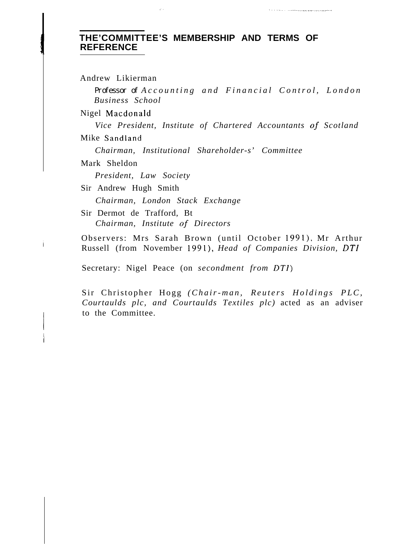# **THE'COMMITTEE'S MEMBERSHIP AND TERMS OF REFERENCE**

Andrew Likierman

*Professor of Accounting and Financial Control, London Business School*

.<br>All film a ferro la casa de de de la partida de la propia de la propia de la

Nigel Macdonald

*Vice President, Institute of Chartered Accountants of Scotland* Mike Sandland

*Chairman, Institutional Shareholder-s' Committee*

Mark Sheldon

Ť

*President, Law Society*

Sir Andrew Hugh Smith *Chairman, London Stack Exchange*

Sir Dermot de Trafford, Bt *Chairman, Institute of Directors*

Observers: Mrs Sarah Brown (until October 1991), Mr Arthur Russell (from November 1991). *Head of Companies Division, DTf*

Secretary: Nigel Peace (on *secondment from DTI)*

Sir Christopher Hogg *(Chair-man, Reuters Holdings PLC, Courtaulds plc, and Courtaulds Textiles plc)* acted as an adviser to the Committee.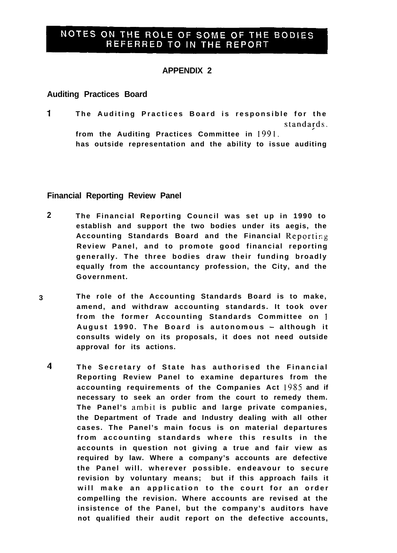# NOTES ON THE ROLE OF SOME OF THE BODIES REFERRED TO IN THE REPORT

#### **APPENDIX 2**

#### **Auditing Practices Board**

**<sup>1</sup> The Auditing Practices Board is responsible for the** standards. **from the Auditing Practices Committee in 1991. has outside representation and the ability to issue auditing**

#### **Financial Reporting Review Panel**

- **2 The Financial Reporting Council was set up in 1990 to establish and support the two bodies under its aegis, the Accounting Standards Board and the Financial Reporting Review Panel, and to promote good financial reporting generally. The three bodies draw their funding broadly equally from the accountancy profession, the City, and the Government.**
- **3 The role of the Accounting Standards Board is to make, amend, and withdraw accounting standards. It took over from the former Accounting Standards Committee on** <sup>1</sup> **August 1990. The Board is autonomous - although it consults widely on its proposals, it does not need outside approval for its actions.**
	- 4 **The Secretary of State has authorised the Financial Reporting Review Panel to examine departures from the accounting requirements of the Companies Act 1985 and if necessary to seek an order from the court to remedy them. The Panel's ambit is public and large private companies, the Department of Trade and Industry dealing with all other cases. The Panel's main focus is on material departures from accounting standards where this results in the accounts in question not giving a true and fair view as required by law. Where a company's accounts are defective the Panel will. wherever possible. endeavour to secure revision by voluntary means; but if this approach fails it will make an application to the court for an order compelling the revision. Where accounts are revised at the insistence of the Panel, but the company's auditors have not qualified their audit report on the defective accounts,**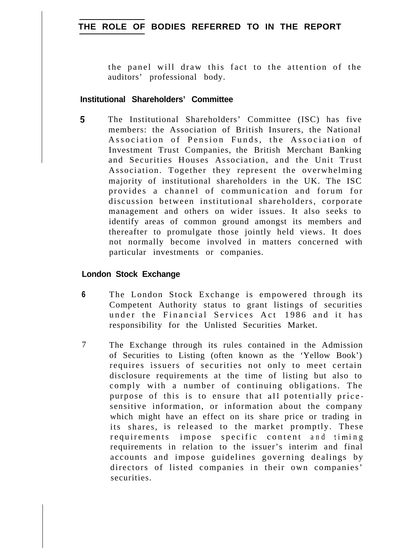# **THE ROLE OF BODIES REFERRED TO IN THE REPORT**

the panel will draw this fact to the attention of the auditors' professional body.

#### **Institutional Shareholders' Committee**

5 The Institutional Shareholders' Committee (ISC) has five members: the Association of British Insurers, the National Association of Pension Funds, the Association of Investment Trust Companies, the British Merchant Banking and Securities Houses Association, and the Unit Trust Association. Together they represent the overwhelming majority of institutional shareholders in the UK. The ISC provides a channel of communication and forum for discussion between institutional shareholders, corporate management and others on wider issues. It also seeks to identify areas of common ground amongst its members and thereafter to promulgate those jointly held views. It does not normally become involved in matters concerned with particular investments or companies.

# **London Stock Exchange**

- **6** The London Stock Exchange is empowered through its Competent Authority status to grant listings of securities under the Financial Services Act 1986 and it has responsibility for the Unlisted Securities Market.
- 7 The Exchange through its rules contained in the Admission of Securities to Listing (often known as the 'Yellow Book') requires issuers of securities not only to meet certain disclosure requirements at the time of listing but also to comply with a number of continuing obligations. The purpose of this is to ensure that all potentially pricesensitive information, or information about the company which might have an effect on its share price or trading in its shares, is released to the market promptly. These requirements impose specific content and timing requirements in relation to the issuer's interim and final accounts and impose guidelines governing dealings by directors of listed companies in their own companies' securities.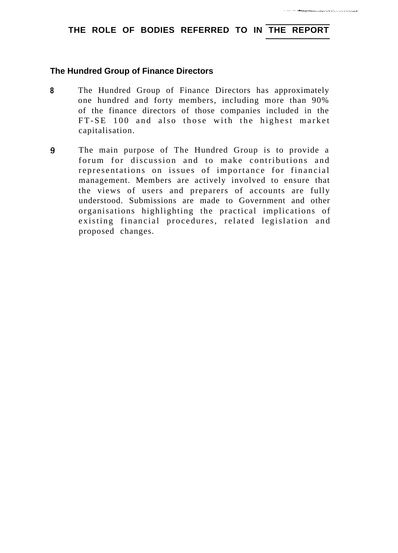#### **The Hundred Group of Finance Directors**

- **8** The Hundred Group of Finance Directors has approximately one hundred and forty members, including more than 90% of the finance directors of those companies included in the FT-SE 100 and also those with the highest market capitalisation.
- 9 The main purpose of The Hundred Group is to provide a forum for discussion and to make contributions and representations on issues of importance for financial management. Members are actively involved to ensure that the views of users and preparers of accounts are fully understood. Submissions are made to Government and other organisations highlighting the practical implications of existing financial procedures, related legislation and proposed changes.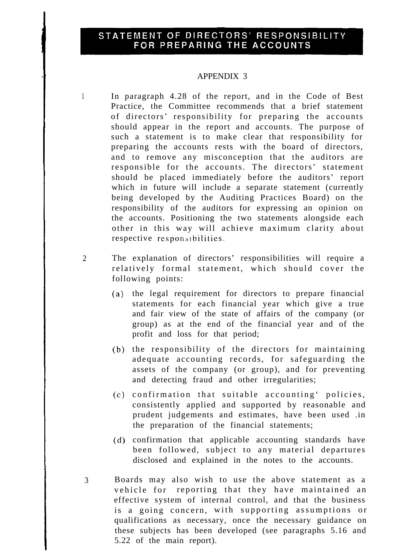# STATEMENT OF DIRECTORS' RESPONSIBILITY FOR PREPARING THE ACCOUNTS

#### APPENDIX 3

- <sup>1</sup> In paragraph 4.28 of the report, and in the Code of Best Practice, the Committee recommends that a brief statement of directors' responsibility for preparing the accounts should appear in the report and accounts. The purpose of such a statement is to make clear that responsibility for preparing the accounts rests with the board of directors, and to remove any misconception that the auditors are responsible for the accounts. The directors' statement should be placed immediately before the auditors' report which in future will include a separate statement (currently being developed by the Auditing Practices Board) on the responsibility of the auditors for expressing an opinion on the accounts. Positioning the two statements alongside each other in this way will achieve maximum clarity about respective responsibilities.
- 2 The explanation of directors' responsibilities will require a relatively formal statement, which should cover the following points:
	- (a) the legal requirement for directors to prepare financial statements for each financial year which give a true and fair view of the state of affairs of the company (or group) as at the end of the financial year and of the profit and loss for that period;
	- (b) the responsibility of the directors for maintaining adequate accounting records, for safeguarding the assets of the company (or group), and for preventing and detecting fraud and other irregularities;
	- (c) confirmation that suitable accounting' policies, consistently applied and supported by reasonable and prudent judgements and estimates, have been used .in the preparation of the financial statements;
	- (d) confirmation that applicable accounting standards have been followed, subject to any material departures disclosed and explained in the notes to the accounts.
- 3 Boards may also wish to use the above statement as a vehicle for reporting that they have maintained an effective system of internal control, and that the business is a going concern, with supporting assumptions or qualifications as necessary, once the necessary guidance on these subjects has been developed (see paragraphs 5.16 and 5.22 of the main report).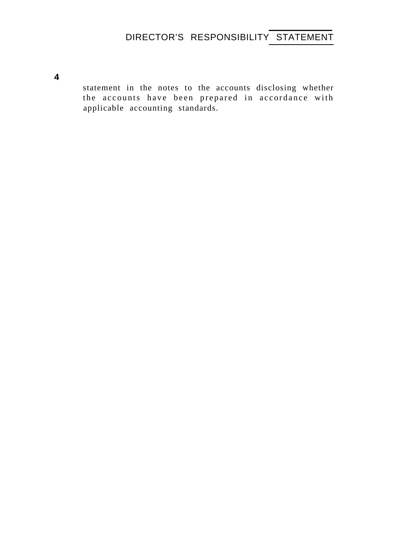# DIRECTOR'S RESPONSIBILITY STATEMENT

4

statement in the notes to the accounts disclosing whether the accounts have been prepared in accordance with applicable accounting standards.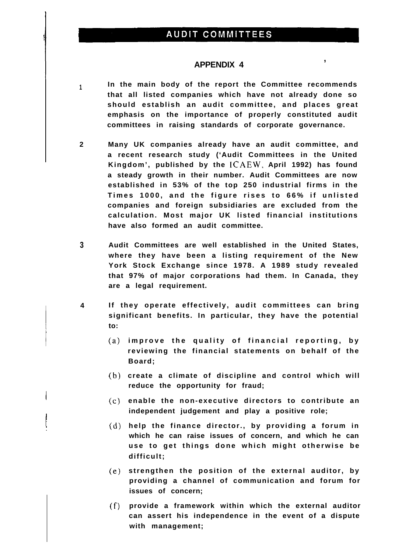I

**1**

#### **APPENDIX 4**

**,**

- **In the main body of the report the Committee recommends that all listed companies which have not already done so should establish an audit committee, and places great emphasis on the importance of properly constituted audit committees in raising standards of corporate governance.**
- **2 Many UK companies already have an audit committee, and a recent research study ('Audit Committees in the United Kingdom', published by the ICAEW, April 1992) has found a steady growth in their number. Audit Committees are now established in 53% of the top 250 industrial firms in the Times 1000, and the figure rises to 66% if unlisted companies and foreign subsidiaries are excluded from the calculation. Most major UK listed financial institutions have also formed an audit committee.**
- **3 Audit Committees are well established in the United States, where they have been a listing requirement of the New York Stock Exchange since 1978. A 1989 study revealed that 97% of major corporations had them. In Canada, they are a legal requirement.**
- **4 If they operate effectively, audit committees can bring significant benefits. In particular, they have the potential to:**
	- (a) **improve the quality of financial reporting, by reviewing the financial statements on behalf of the Board;**
	- (b) **create a climate of discipline and control which will reduce the opportunity for fraud;**
- <sup>I</sup> Cc) **enable the non-executive directors to contribute an independent judgement and play a positive role;**
- <sup>i</sup> Cd) **help the finance director., by providing a forum in which he can raise issues of concern, and which he can use to get things done which might otherwise be difficult;**
	- (e) **strengthen the position of the external auditor, by providing a channel of communication and forum for issues of concern;**
	- (f) provide a framework within which the external auditor **can assert his independence in the event of a dispute with management;**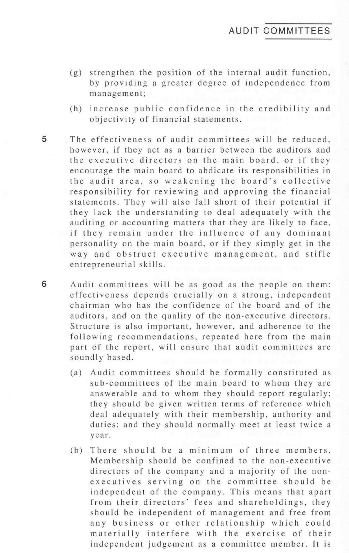- (g) strengthen the position of the internal audit function, by providing a greater degree of independence from management;
- (h) increase public confidence in the credibility and objectivity of financial statements.
- The effectiveness of audit committees will be reduced. however, if they act as a barrier between the auditors and the executive directors on the main board, or if they encourage the main board to abdicate its responsibilities in the audit area, so weakening the board's collective responsibility for reviewing and approving the financial statements. They will also fall short of their potential if they lack the understanding to deal adequately with the auditing or accounting matters that they are likely to face, if they remain under the influence of any dominant personality on the main board, or if they simply get in the way and obstruct executive management, and stifle entrepreneurial skills.

5

- 6 Audit committees will be as good as the people on them: effectiveness depends crucially on a strong, independent chairman who has the confidence of the board and of the auditors, and on the quality of the non-executive directors. Structure is also important, however, and adherence to the following recommendations, repeated here from the main part of the report, will ensure that audit committees are soundly based.
	- Audit committees should be formally constituted as (a) sub-committees of the main board to whom they are answerable and to whom they should report regularly; they should be given written terms of reference which deal adequately with their membership, authority and duties; and they should normally meet at least twice a year.
	- There should be a minimum of three members.  $(b)$ Membership should be confined to the non-executive directors of the company and a majority of the nonexecutives serving on the committee should be independent of the company. This means that apart from their directors' fees and shareholdings, they should be independent of management and free from any business or other relationship which could materially interfere with the exercise of their independent judgement as a committee member. It is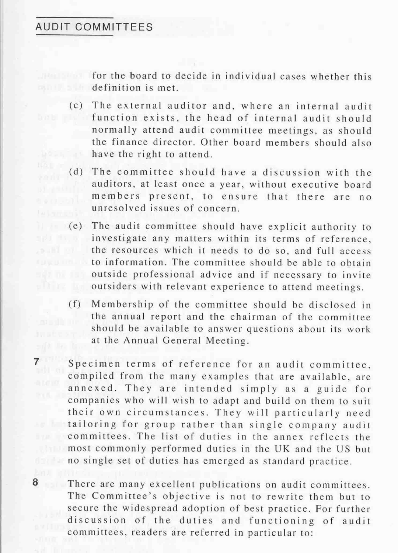7

8

for the board to decide in individual cases whether this definition is met.

- $(c)$ The external auditor and, where an internal audit function exists, the head of internal audit should normally attend audit committee meetings, as should the finance director. Other board members should also have the right to attend.
- $(d)$ The committee should have a discussion with the auditors, at least once a year, without executive board members present, to ensure that there are no unresolved issues of concern.
- (e) The audit committee should have explicit authority to investigate any matters within its terms of reference. the resources which it needs to do so, and full access to information. The committee should be able to obtain outside professional advice and if necessary to invite outsiders with relevant experience to attend meetings.
	- (f) Membership of the committee should be disclosed in the annual report and the chairman of the committee should be available to answer questions about its work at the Annual General Meeting.

Specimen terms of reference for an audit committee, compiled from the many examples that are available, are annexed. They are intended simply as a guide for companies who will wish to adapt and build on them to suit their own circumstances. They will particularly need tailoring for group rather than single company audit committees. The list of duties in the annex reflects the most commonly performed duties in the UK and the US but no single set of duties has emerged as standard practice.

There are many excellent publications on audit committees. The Committee's objective is not to rewrite them but to secure the widespread adoption of best practice. For further discussion of the duties and functioning of audit committees, readers are referred in particular to: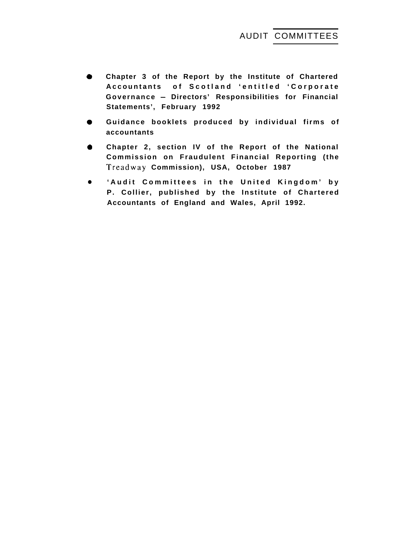- 0 **Chapter 3 of the Report by the Institute of Chartered Accountants of Scotland 'entitled 'Corporate Governance - Directors' Responsibilities for Financial Statements', February 1992**
- **0 Guidance booklets produced by individual firms of accountants**
- **0 Chapter 2, section IV of the Report of the National Commission on Fraudulent Financial Reporting (the Treadway Commission), USA, October 1987**
- **.** 'Audit Committees in the United Kingdom' by **P. Collier, published by the Institute of Chartered Accountants of England and Wales, April 1992.**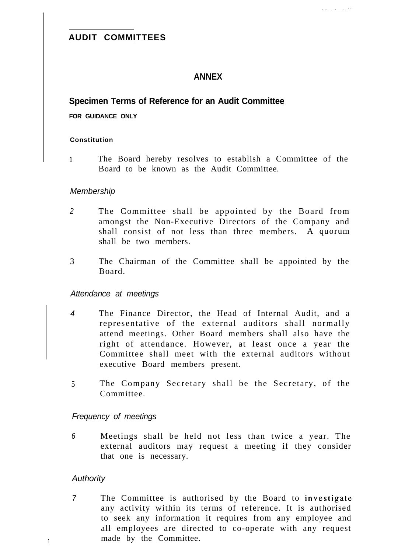# **AUDIT COMMITTEES**

# **ANNEX**

# **Specimen Terms of Reference for an Audit Committee**

**FOR GUIDANCE ONLY**

#### **Constitution**

**<sup>1</sup>** The Board hereby resolves to establish a Committee of the Board to be known as the Audit Committee.

### *Membership*

- *2* The Committee shall be appointed by the Board from amongst the Non-Executive Directors of the Company and shall consist of not less than three members. A quorum shall be two members.
- 3 The Chairman of the Committee shall be appointed by the Board.

#### *Attendance at meetings*

- *4* The Finance Director, the Head of Internal Audit, and a representative of the external auditors shall normally attend meetings. Other Board members shall also have the right of attendance. However, at least once a year the Committee shall meet with the external auditors without executive Board members present.
- 5 The Company Secretary shall be the Secretary, of the Committee.

## *Frequency of meetings*

*6* Meetings shall be held not less than twice a year. The external auditors may request a meeting if they consider that one is necessary.

## *Authority*

7 The Committee is authorised by the Board to investigate any activity within its terms of reference. It is authorised to seek any information it requires from any employee and all employees are directed to co-operate with any request  $\mathbf{I}$  made by the Committee.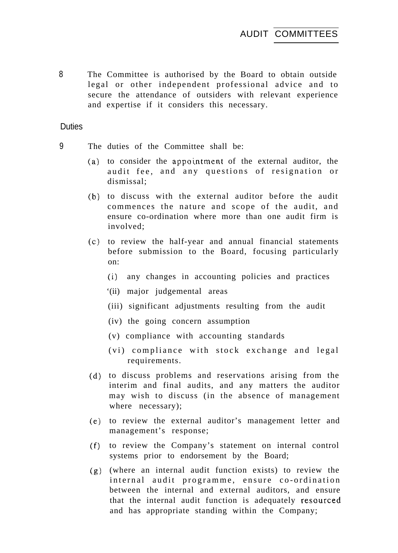8 The Committee is authorised by the Board to obtain outside legal or other independent professional advice and to secure the attendance of outsiders with relevant experience and expertise if it considers this necessary.

### **Duties**

9 The duties of the Committee shall be:

- (a) to consider the appointment of the external auditor, the audit fee, and any questions of resignation or dismissal;
- $(b)$  to discuss with the external auditor before the audit commences the nature and scope of the audit, and ensure co-ordination where more than one audit firm is involved;
- (c) to review the half-year and annual financial statements before submission to the Board, focusing particularly on:
	- (i) any changes in accounting policies and practices
	- '(ii) major judgemental areas
	- (iii) significant adjustments resulting from the audit
	- (iv) the going concern assumption
	- (v) compliance with accounting standards
	- (vi) compliance with stock exchange and legal requirements.
- Cd) to discuss problems and reservations arising from the interim and final audits, and any matters the auditor may wish to discuss (in the absence of management where necessary);
- (e) to review the external auditor's management letter and management's response;
- (f) to review the Company's statement on internal control systems prior to endorsement by the Board;
- (8) (where an internal audit function exists) to review the internal audit programme, ensure co-ordination between the internal and external auditors, and ensure that the internal audit function is adequately resourced and has appropriate standing within the Company;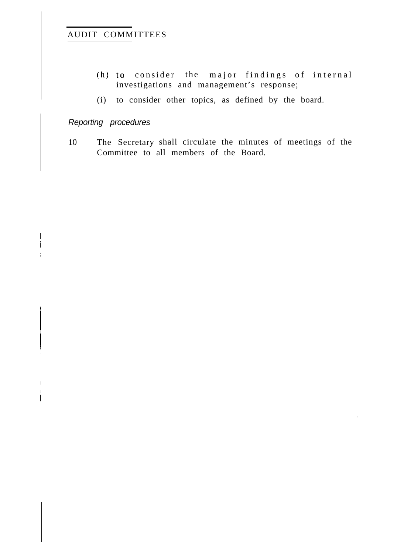# AUDIT COMMITTEES

- (h) to consider the major findings of internal investigations and management's response;
- (i) to consider other topics, as defined by the board.

### *Reporting procedures*

 $\overline{\phantom{a}}$  $\mathbf{I}$  10 The Secretary shall circulate the minutes of meetings of the Committee to all members of the Board.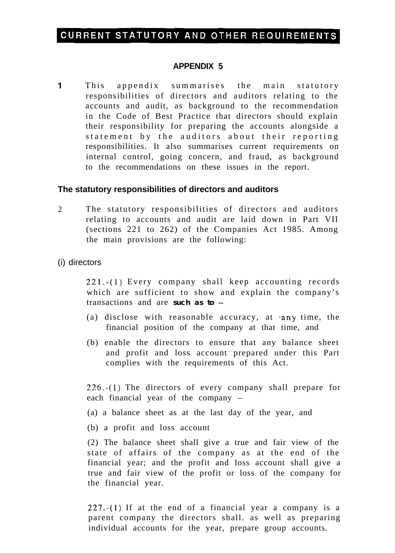#### **APPENDIX 5**

<sup>1</sup> This appendix summarises the main statutory responsibilities of directors and auditors relating to the accounts and audit, as background to the recommendation in the Code of Best Practice that directors should explain their responsibility for preparing the accounts alongside a statement by the auditors about their reporting responsibilities. It also summarises current requirements on internal control, going concern, and fraud, as background to the recommendations on these issues in the report.

#### **The statutory responsibilities of directors and auditors**

- 2 The statutory responsibilities of directors and auditors relating to accounts and audit are laid down in Part VII (sections 221 to 262) of the Companies Act 1985. Among the main provisions are the following:
- (i) directors

221.-(l) Every company shall keep accounting records which are sufficient to show and explain the company's transactions and are **such as to -**

- (a) disclose with reasonable accuracy, at any time, the financial position of the company at that time, and
- (b) enable the directors to ensure that any balance sheet and profit and loss account prepared under this Part complies with the requirements of this Act.

226.-(l) The directors of every company shall prepare for each financial year of the company  $-$ 

- (a) a balance sheet as at the last day of the year, and
- (b) a profit and loss account

(2) The balance sheet shall give a true and fair view of the state of affairs of the company as at the end of the financial year; and the profit and loss account shall give a true and fair view of the profit or loss of the company for the financial year.

227.-(l) If at the end of a financial year a company is a parent company the directors shall. as well as preparing individual accounts for the year, prepare group accounts.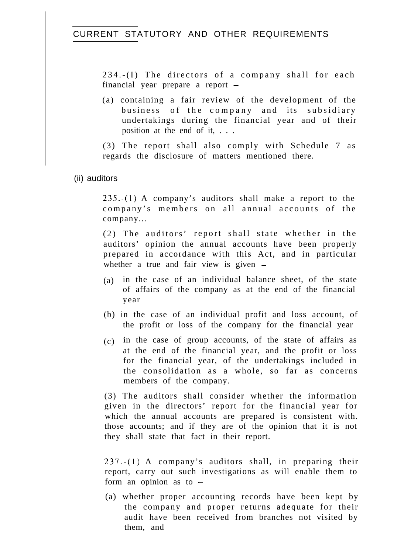234.-(I) The directors of a company shall for each financial year prepare a report  $-$ 

(a) containing a fair review of the development of the business of the company and its subsidiary undertakings during the financial year and of their position at the end of it, . . .

(3) The report shall also comply with Schedule 7 as regards the disclosure of matters mentioned there.

(ii) auditors

235.-(l) A company's auditors shall make a report to the company's members on all annual accounts of the company...

(2) The auditors' report shall state whether in the auditors' opinion the annual accounts have been properly prepared in accordance with this Act, and in particular whether a true and fair view is given  $-$ 

- (a) in the case of an individual balance sheet, of the state of affairs of the company as at the end of the financial year
- (b) in the case of an individual profit and loss account, of the profit or loss of the company for the financial year
- (c) in the case of group accounts, of the state of affairs as at the end of the financial year, and the profit or loss for the financial year, of the undertakings included in the consolidation as a whole, so far as concerns members of the company.

(3) The auditors shall consider whether the information given in the directors' report for the financial year for which the annual accounts are prepared is consistent with. those accounts; and if they are of the opinion that it is not they shall state that fact in their report.

237.-(l) A company's auditors shall, in preparing their report, carry out such investigations as will enable them to form an opinion as to  $-$ 

(a) whether proper accounting records have been kept by the company and proper returns adequate for their audit have been received from branches not visited by them, and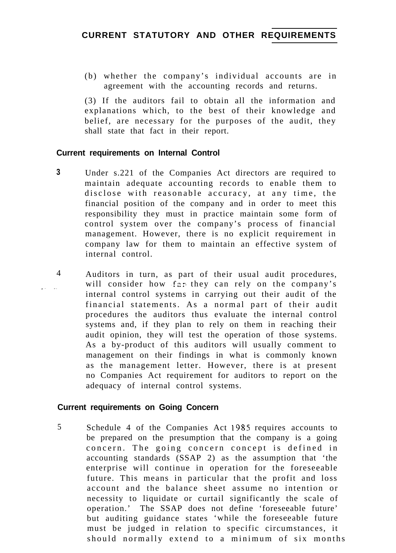(b) whether the company's individual accounts are in agreement with the accounting records and returns.

(3) If the auditors fail to obtain all the information and explanations which, to the best of their knowledge and belief, are necessary for the purposes of the audit, they shall state that fact in their report.

#### **Current requirements on Internal Control**

- **3** Under s.221 of the Companies Act directors are required to maintain adequate accounting records to enable them to disclose with reasonable accuracy, at any time, the financial position of the company and in order to meet this responsibility they must in practice maintain some form of control system over the company's process of financial management. However, there is no explicit requirement in company law for them to maintain an effective system of internal control.
- 4 Auditors in turn, as part of their usual audit procedures, will consider how far they can rely on the company's internal control systems in carrying out their audit of the financial statements. As a normal part of their audit procedures the auditors thus evaluate the internal control systems and, if they plan to rely on them in reaching their audit opinion, they will test the operation of those systems. As a by-product of this auditors will usually comment to management on their findings in what is commonly known as the management letter. However, there is at present no Companies Act requirement for auditors to report on the adequacy of internal control systems.

#### **Current requirements on Going Concern**

5 Schedule 4 of the Companies Act 1985 requires accounts to be prepared on the presumption that the company is a going concern. The going concern concept is defined in accounting standards (SSAP 2) as the assumption that 'the enterprise will continue in operation for the foreseeable future. This means in particular that the profit and loss account and the balance sheet assume no intention or necessity to liquidate or curtail significantly the scale of operation.' The SSAP does not define 'foreseeable future' but auditing guidance states 'while the foreseeable future must be judged in relation to specific circumstances, it should normally extend to a minimum of six months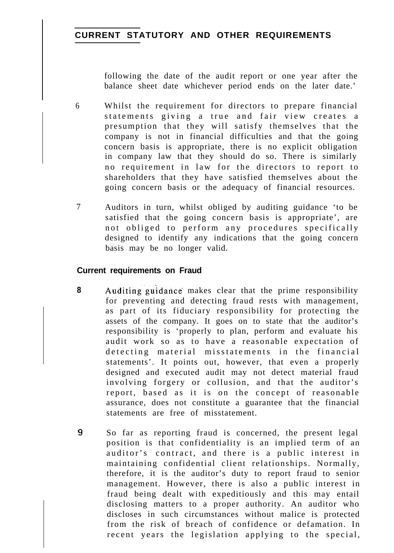following the date of the audit report or one year after the balance sheet date whichever period ends on the later date.'

- 6 Whilst the requirement for directors to prepare financial statements giving a true and fair view creates a presumption that they will satisfy themselves that the company is not in financial difficulties and that the going concern basis is appropriate, there is no explicit obligation in company law that they should do so. There is similarly no requirement in law for the directors to report to shareholders that they have satisfied themselves about the going concern basis or the adequacy of financial resources.
- 7 Auditors in turn, whilst obliged by auditing guidance 'to be satisfied that the going concern basis is appropriate', are not obliged to perform any procedures specifically designed to identify any indications that the going concern basis may be no longer valid.

#### **Current requirements on Fraud**

- **8** Auditing guidance makes clear that the prime responsibility for preventing and detecting fraud rests with management, as part of its fiduciary responsibility for protecting the assets of the company. It goes on to state that the auditor's responsibility is 'properly to plan, perform and evaluate his audit work so as to have a reasonable expectation of detecting material misstatements in the financial statements'. It points out, however, that even a properly designed and executed audit may not detect material fraud involving forgery or collusion, and that the auditor's report, based as it is on the concept of reasonable assurance, does not constitute a guarantee that the financial statements are free of misstatement.
- 9 So far as reporting fraud is concerned, the present legal position is that confidentiality is an implied term of an auditor's contract, and there is a public interest in maintaining confidential client relationships. Normally, therefore, it is the auditor's duty to report fraud to senior management. However, there is also a public interest in fraud being dealt with expeditiously and this may entail disclosing matters to a proper authority. An auditor who discloses in such circumstances without malice is protected from the risk of breach of confidence or defamation. In recent years the legislation applying to the special,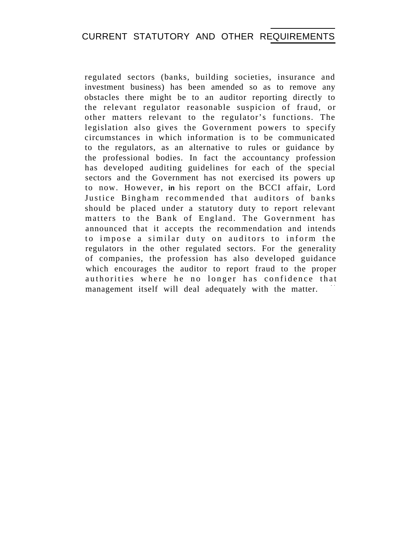regulated sectors (banks, building societies, insurance and investment business) has been amended so as to remove any obstacles there might be to an auditor reporting directly to the relevant regulator reasonable suspicion of fraud, or other matters relevant to the regulator's functions. The legislation also gives the Government powers to specify circumstances in which information is to be communicated to the regulators, as an alternative to rules or guidance by the professional bodies. In fact the accountancy profession has developed auditing guidelines for each of the special sectors and the Government has not exercised its powers up to now. However, **in** his report on the BCCI affair, Lord Justice Bingham recommended that auditors of banks should be placed under a statutory duty to report relevant matters to the Bank of England. The Government has announced that it accepts the recommendation and intends to impose a similar duty on auditors to inform the regulators in the other regulated sectors. For the generality of companies, the profession has also developed guidance which encourages the auditor to report fraud to the proper authorities where he no longer has confidence that management itself will deal adequately with the matter.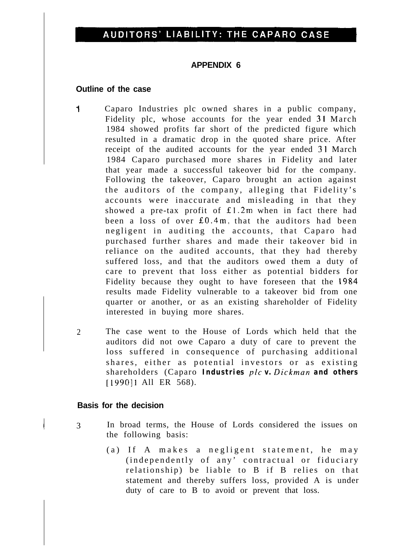# AUDITORS' LIABILITY: THE CAPARO CASE

#### **APPENDIX 6**

#### **Outline of the case**

- <sup>1</sup> Caparo Industries plc owned shares in a public company, Fidelity plc, whose accounts for the year ended 31 March 1984 showed profits far short of the predicted figure which resulted in a dramatic drop in the quoted share price. After receipt of the audited accounts for the year ended 31 March 1984 Caparo purchased more shares in Fidelity and later that year made a successful takeover bid for the company. Following the takeover, Caparo brought an action against the auditors of the company, alleging that Fidelity's accounts were inaccurate and misleading in that they showed a pre-tax profit of  $£1.2m$  when in fact there had been a loss of over &0.4m, that the auditors had been negligent in auditing the accounts, that Caparo had purchased further shares and made their takeover bid in reliance on the audited accounts, that they had thereby suffered loss, and that the auditors owed them a duty of care to prevent that loss either as potential bidders for Fidelity because they ought to have foreseen that the 1984 results made Fidelity vulnerable to a takeover bid from one quarter or another, or as an existing shareholder of Fidelity interested in buying more shares.
- 2 The case went to the House of Lords which held that the auditors did not owe Caparo a duty of care to prevent the loss suffered in consequence of purchasing additional shares, either as potential investors or as existing shareholders (Caparo *Industries plc v. Dickman and others [I9901* I All ER 568).

#### **Basis for the decision**

- 3 In broad terms, the House of Lords considered the issues on the following basis:
	- (a) If A makes a negligent statement, he may (independently of any' contractual or fiduciary relationship) be liable to B if B relies on that statement and thereby suffers loss, provided A is under duty of care to B to avoid or prevent that loss.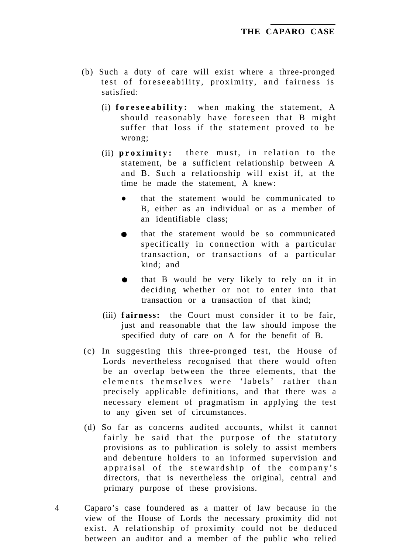- (b) Such a duty of care will exist where a three-pronged test of foreseeability, proximity, and fairness is satisfied:
	- (i) **foreseeability:** when making the statement, A should reasonably have foreseen that B might suffer that loss if the statement proved to be wrong;
	- (ii) **proximity:** there must, in relation to the statement, be a sufficient relationship between A and B. Such a relationship will exist if, at the time he made the statement, A knew:
		- l that the statement would be communicated to B, either as an individual or as a member of an identifiable class;
		- 0 that the statement would be so communicated specifically in connection with a particular transaction, or transactions of a particular kind; and
		- 0 that B would be very likely to rely on it in deciding whether or not to enter into that transaction or a transaction of that kind;
	- (iii) **f airness:** the Court must consider it to be fair, just and reasonable that the law should impose the specified duty of care on A for the benefit of B.
- (c) In suggesting this three-pronged test, the House of Lords nevertheless recognised that there would often be an overlap between the three elements, that the elements themselves were 'labels' rather than precisely applicable definitions, and that there was a necessary element of pragmatism in applying the test to any given set of circumstances.
- (d) So far as concerns audited accounts, whilst it cannot fairly be said that the purpose of the statutory provisions as to publication is solely to assist members and debenture holders to an informed supervision and appraisal of the stewardship of the company's directors, that is nevertheless the original, central and primary purpose of these provisions.
- 4 Caparo's case foundered as a matter of law because in the view of the House of Lords the necessary proximity did not exist. A relationship of proximity could not be deduced between an auditor and a member of the public who relied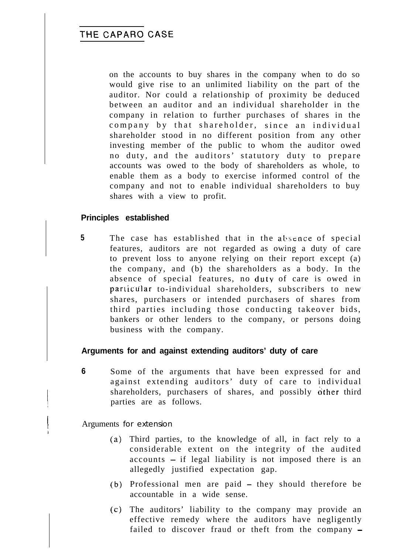# **THECAPAROCASE**

on the accounts to buy shares in the company when to do so would give rise to an unlimited liability on the part of the auditor. Nor could a relationship of proximity be deduced between an auditor and an individual shareholder in the company in relation to further purchases of shares in the company by that shareholder, since an individual shareholder stood in no different position from any other investing member of the public to whom the auditor owed no duty, and the auditors' statutory duty to prepare accounts was owed to the body of shareholders as whole, to enable them as a body to exercise informed control of the company and not to enable individual shareholders to buy shares with a view to profit.

#### **Principles established**

5 The case has established that in the absence of special features, auditors are not regarded as owing a duty of care to prevent loss to anyone relying on their report except (a) the company, and (b) the shareholders as a body. In the absence of special features, no duty of care is owed in particular to-individual shareholders, subscribers to new shares, purchasers or intended purchasers of shares from third parties including those conducting takeover bids, bankers or other lenders to the company, or persons doing business with the company.

#### **Arguments for and against extending auditors' duty of care**

**6** Some of the arguments that have been expressed for and against extending auditors' duty of care to individual shareholders, purchasers of shares, and possibly other third parties are as follows.

**<sup>I</sup>** Arguments for extension

- (a) Third parties, to the knowledge of all, in fact rely to a considerable extent on the integrity of the audited accounts - if legal liability is not imposed there is an allegedly justified expectation gap.
- (b) Professional men are paid they should therefore be accountable in a wide sense.
- $(c)$ The auditors' liability to the company may provide an effective remedy where the auditors have negligently failed to discover fraud or theft from the company  $-$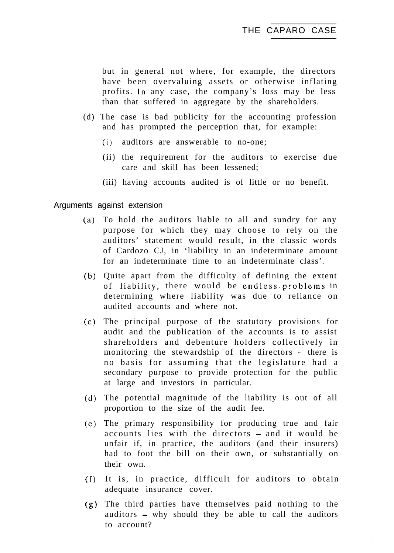but in general not where, for example, the directors have been overvaluing assets or otherwise inflating profits. In any case, the company's loss may be less than that suffered in aggregate by the shareholders.

- (d) The case is bad publicity for the accounting profession and has prompted the perception that, for example:
	- (i) auditors are answerable to no-one;
	- (ii) the requirement for the auditors to exercise due care and skill has been lessened;
	- (iii) having accounts audited is of little or no benefit.

#### Arguments against extension

- (a) To hold the auditors liable to all and sundry for any purpose for which they may choose to rely on the auditors' statement would result, in the classic words of Cardozo CJ, in 'liability in an indeterminate amount for an indeterminate time to an indeterminate class'.
- (b) Quite apart from the difficulty of defining the extent of liability, there would be endless problems in determining where liability was due to reliance on audited accounts and where not.
- (c) The principal purpose of the statutory provisions for audit and the publication of the accounts is to assist shareholders and debenture holders collectively in monitoring the stewardship of the directors – there is no basis for assuming that the legislature had a secondary purpose to provide protection for the public at large and investors in particular.
- (d) The potential magnitude of the liability is out of all proportion to the size of the audit fee.
- (e) The primary responsibility for producing true and fair accounts lies with the directors - and it would be unfair if, in practice, the auditors (and their insurers) had to foot the bill on their own, or substantially on their own.
- (f) It is, in practice, difficult for auditors to obtain adequate insurance cover.
- (g) The third parties have themselves paid nothing to the auditors - why should they be able to call the auditors to account?

 $\mathcal{A}$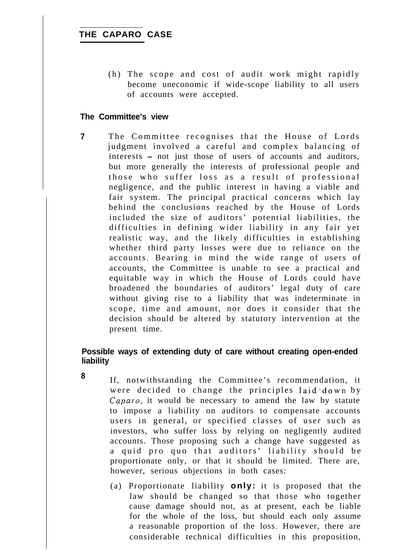# **THE CAPARO CASE**

(h) The scope and cost of audit work might rapidly become uneconomic if wide-scope liability to all users of accounts were accepted.

#### **The Committee's view**

**7** The Committee recognises that the House of Lords judgment involved a careful and complex balancing of interests – not just those of users of accounts and auditors, but more generally the interests of professional people and those who suffer loss as a result of professional negligence, and the public interest in having a viable and fair system. The principal practical concerns which lay behind the conclusions reached by the House of Lords included the size of auditors' potential liabilities, the difficulties in defining wider liability in any fair yet realistic way, and the likely difficulties in establishing whether third party losses were due to reliance on the accounts. Bearing in mind the wide range of users of accounts, the Committee is unable to see a practical and equitable way in which the House of Lords could have broadened the boundaries of auditors' legal duty of care without giving rise to a liability that was indeterminate in scope, time and amount, nor does it consider that the decision should be altered by statutory intervention at the present time.

#### **Possible ways of extending duty of care without creating open-ended liability**

**8**

If, notwithstanding the Committee's recommendation, it were decided to change the principles laid'down by *Caparo,* it would be necessary to amend the law by statute to impose a liability on auditors to compensate accounts users in general, or specified classes of user such as investors, who suffer loss by relying on negligently audited accounts. Those proposing such a change have suggested as a quid pro quo that auditors' liability should be proportionate only, or that it should be limited. There are, however, serious objections in both cases:

(a) Proportionate liability **only:** it is proposed that the law should be changed so that those who together cause damage should not, as at present, each be liable for the whole of the loss, but should each only assume a reasonable proportion of the loss. However, there are considerable technical difficulties in this proposition,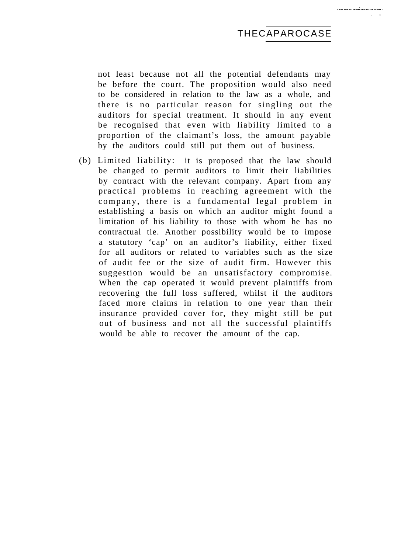not least because not all the potential defendants may be before the court. The proposition would also need to be considered in relation to the law as a whole, and there is no particular reason for singling out the auditors for special treatment. It should in any event be recognised that even with liability limited to a proportion of the claimant's loss, the amount payable by the auditors could still put them out of business.

(b) Limited liability: it is proposed that the law should be changed to permit auditors to limit their liabilities by contract with the relevant company. Apart from any practical problems in reaching agreement with the company, there is a fundamental legal problem in establishing a basis on which an auditor might found a limitation of his liability to those with whom he has no contractual tie. Another possibility would be to impose a statutory 'cap' on an auditor's liability, either fixed for all auditors or related to variables such as the size of audit fee or the size of audit firm. However this suggestion would be an unsatisfactory compromise. When the cap operated it would prevent plaintiffs from recovering the full loss suffered, whilst if the auditors faced more claims in relation to one year than their insurance provided cover for, they might still be put out of business and not all the successful plaintiffs would be able to recover the amount of the cap.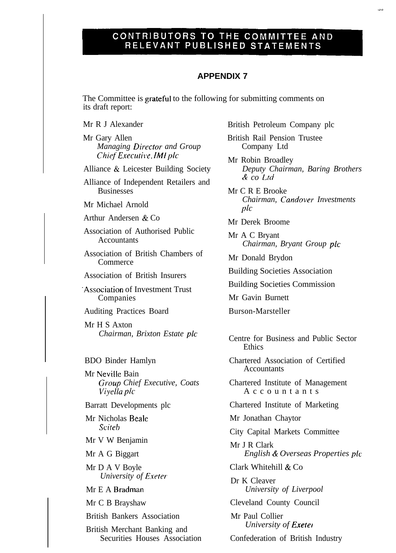# CONTRIBUTORS TO THE COMMITTEE AND RELEVANT PUBLISHED STATEMENTS

#### **APPENDIX 7**

The Committee is grateful to the following for submitting comments on its draft report:

Mr R J Alexander

Mr Gary Allen *Managing Director and Group Chief Executi\le. IMI plc*

Alliance & Leicester Building Society

Alliance of Independent Retailers and Businesses

Mr Michael Arnold

Arthur Andersen & Co

Association of Authorised Public **Accountants** 

Association of British Chambers of Commerce

Association of British Insurers

.Association of Investment Trust Companies

Auditing Practices Board

Mr H S Axton *Chairman, Brixton Estate plc*

#### BDO Binder Hamlyn

Mr Neville Bain Group *Chief Executive, Coats Viyella plc*

Barratt Developments plc

Mr Nicholas Beale *Scifeh*

Mr V W Benjamin

Mr A G Biggart

Mr D A V Boyle *University of Excler*

Mr E A Bradman

Mr C B Brayshaw

British Bankers Association

British Merchant Banking and Securities Houses Association British Petroleum Company plc

British Rail Pension Trustee Company Ltd

Mr Robin Broadley *Deputy Chairman, Baring Brothers & co L&i*

Mr C R E Brooke *Chairman, Candover Investments plc*

Mr Derek Broome

Mr A C Bryant *Chairman, Bryant Group plc*

Mr Donald Brydon

Building Societies Association

Building Societies Commission

Mr Gavin Burnett

Burson-Marsteller

Centre for Business and Public Sector **Ethics** 

Chartered Association of Certified Accountants

Chartered Institute of Management Accountants

Chartered Institute of Marketing

Mr Jonathan Chaytor

City Capital Markets Committee

Mr J R Clark *English & Overseas Properties plc*

Clark Whitehill & Co

Dr K Cleaver *University of Liverpool*

Cleveland County Council

Mr Paul Collier *University of Exeter*

Confederation of British Industry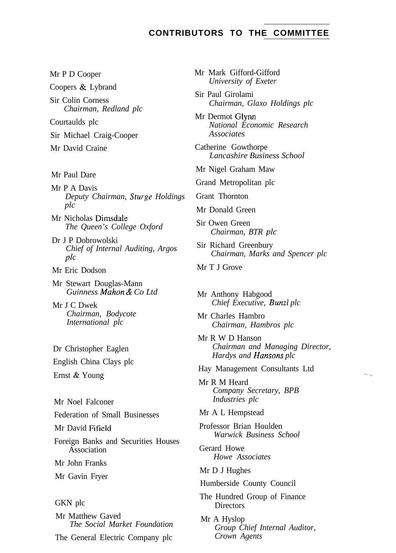Mr P D Cooper

Coopers & Lybrand

Sir Colin Corness *Chairman, Redland plc*

Courtaulds plc

Sir Michael Craig-Cooper

Mr David Craine

Mr Paul Dare

Mr P A Davis *Deputy Chairman, Sturge Holdings plc*

Mr Nicholas Dimsdale *The Queen's College Oxford*

Dr J P Dobrowolski *Chief of Internal Auditing, Argos Ptc*

Mr Eric Dodson

Mr Stewart Douglas-Mann *Guinness Mahon & Co Ltd*

Mr J C Dwek *Chairman, Bodycote International plc*

Dr Christopher Eaglen

English China Clays plc

Ernst & Young

Mr Noel Falconer

Federation of Small Businesses

Mr David Fifield

Foreign Banks and Securities Houses Association

Mr John Franks

Mr Gavin Fryer

#### GKN plc

Mr Matthew Gaved *The Social Market Foundation*

The General Electric Company plc

Mr Mark Gifford-Gifford *University of Exeter*

Sir Paul Girolami *Chairman, Glaxo Holdings plc*

Mr Dermot Glynn *National Economic Research Associates*

Catherine Gowthorpe *Lancashire Business School*

Mr Nigel Graham Maw

Grand Metropolitan plc

Grant Thornton

Mr Donald Green

Sir Owen Green *Chairman, BTR plc*

Sir Richard Greenbury *Chairman, Marks and Spencer plc*

Mr T J Grove

Mr Anthony Habgood *Chief Executive, Bunzl plc*

Mr Charles Hambro *Chairman, Hambros plc*

Mr R W D Hanson *Chairman and Managing Director, Hardys and Hansons plc*

Hay Management Consultants Ltd

Mr R M Heard *Company Secretary, BPB Industries plc*

Mr A L Hempstead

Professor Brian Houlden *Warwick Business School*

Gerard Howe *Howe Associates*

Mr D J Hughes

Humberside County Council

The Hundred Group of Finance **Directors** 

Mr A Hyslop *Group Chief Internal Auditor, Crown Agents*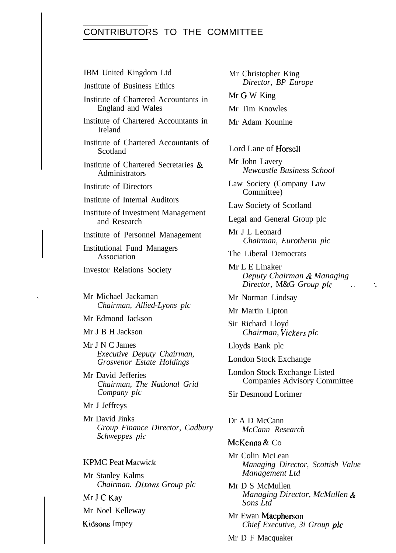IBM United Kingdom Ltd

Institute of Business Ethics

Institute of Chartered Accountants in England and Wales

Institute of Chartered Accountants in Ireland

Institute of Chartered Accountants of Scotland

Institute of Chartered Secretaries & Administrators

Institute of Directors

Institute of Internal Auditors

Institute of Investment Management and Research

Institute of Personnel Management

Institutional Fund Managers Association

Investor Relations Society

Mr Michael Jackaman *Chairman, Allied-Lyons plc*

Mr Edmond Jackson

Mr J B H Jackson

 $\ddot{\phantom{0}}$ 

Mr J N C James *Executive Deputy Chairman, Grosvenor Estate Holdings*

Mr David Jefferies *Chairman, The National Grid Company plc*

Mr J Jeffreys

Mr David Jinks *Group Finance Director, Cadbury Schweppes plc*

#### KPMC Peat Marwick

Mr Stanley Kalms *Chairman. Dixons Group plc*

MrJCKay Mr Noel Kelleway

Kidsons Impey

Mr Christopher King *Director, BP Europe*

Mr G W King

Mr Tim Knowles

Mr Adam Kounine

Lord Lane of Horse11

Mr John Lavery *Newcastle Business School*

Law Society (Company Law Committee)

Law Society of Scotland

Legal and General Group plc

Mr J L Leonard *Chairman, Eurotherm plc*

The Liberal Democrats

Mr L E Linaker *Deputy Chairman & Managing Director,* M&G *Group plc* ~. '.

Mr Norman Lindsay

Mr Martin Lipton

Sir Richard Lloyd *Chairman, Vickers plc*

Lloyds Bank plc

London Stock Exchange

London Stock Exchange Listed Companies Advisory Committee

Sir Desmond Lorimer

Dr A D McCann *McCann Research*

McKenna & Co

Mr Colin McLean *Managing Director, Scottish Value Management Ltd*

Mr D S McMullen *Managing Director, McMullen & Sons Ltd*

Mr Ewan Macpherson *Chief Executive, 3i Group plc*

Mr D F Macquaker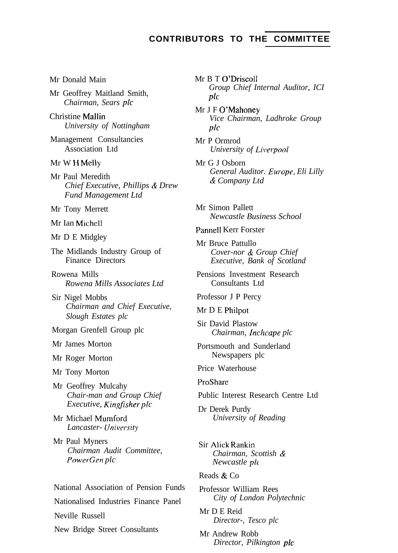Mr Donald Main

Mr Geoffrey Maitland Smith, *Chairman, Sears plc*

Christine Mallin *University of Nottingham*

Management Consultancies Association Ltd

Mr W H Melly

Mr Paul Meredith *Chief Executive, Phillips & Drew Fund Management Ltd*

Mr Tony Merrett

Mr Ian Michell

Mr D E Midgley

The Midlands Industry Group of Finance Directors

Rowena Mills *Rowena Mills Associates Ltd*

Sir Nigel Mobbs *Chairman and Chief Executive, Slough Estates plc*

Morgan Grenfell Group plc

Mr James Morton

Mr Roger Morton

Mr Tony Morton

Mr Geoffrey Mulcahy *Chair-man and Group Chief Executive,* Kingfisher plc

Mr Michael Mumford Lancaster- University

Mr Paul Myners *Chairman Audit Committee, PowerGen plc*

National Association of Pension Funds Nationalised Industries Finance Panel Neville Russell New Bridge Street Consultants

Mr B T O'Driscoll *Group Chief Internal Auditor, ICI plc*

Mr J F O'Mahoney *Vice Chairman, Ladhroke Group Plc*

Mr P Ormrod *University of Liverpool* 

Mr G J Osborn *General Auditor. Europe. Eli Lilly & Company Ltd*

Mr Simon Pallett *Newcastle Business School*

Pannell Kerr Forster

Mr Bruce Pattullo *Cover-nor & Group Chief Executive, Bank of Scotland*

Pensions Investment Research Consultants Ltd

Professor J P Percy

Mr D E Philpot

Sir David Plastow *Chairman, Inchcape plc*

Portsmouth and Sunderland Newspapers plc

Price Waterhouse

ProShare

Public Interest Research Centre Ltd

Dr Derek Purdy *University of Reading*

Sir Alick Rankin *Chairman, Scottish & Newcastle plc*

Reads & Co

Professor William Rees *City of London Polytechnic*

Mr D E Reid *Director-, Tesco plc*

Mr Andrew Robb *Director, Pilkington plc*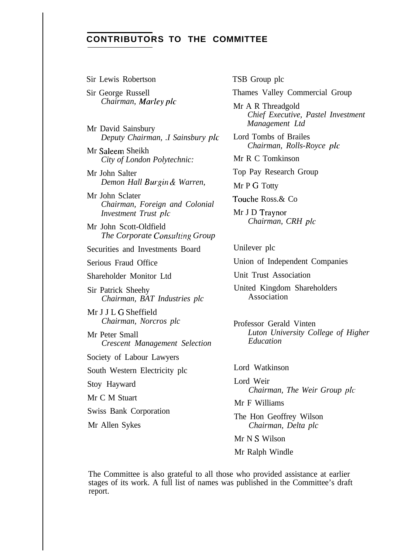Sir Lewis Robertson

Sir George Russell *Chairman, Marley plc*

Mr David Sainsbury *Deputy Chairman, .I Sainsbury plc*

- Mr Saleem Sheikh *City of London Polytechnic:*
- Mr John Salter *Demon Hall Burgin & Warren,*

Mr John Sclater *Chairman, Foreign and Colonial Investment Trust plc*

Mr John Scott-Oldfield *The Corporate Consutting Group*

Securities and Investments Board

Serious Fraud Office

Shareholder Monitor Ltd

Sir Patrick Sheehy *Chairman, BAT Industries plc*

Mr J J L G Sheffield *Chairman, Norcros plc*

Mr Peter Small *Crescent Management Selection*

Society of Labour Lawyers

South Western Electricity plc

Stoy Hayward

Mr C M Stuart

Swiss Bank Corporation

Mr Allen Sykes

TSB Group plc

Thames Valley Commercial Group

Mr A R Threadgold *Chief Executive, Pastel Investment Management Ltd*

Lord Tombs of Brailes *Chairman, Rolls-Royce plc*

Mr R C Tomkinson

Top Pay Research Group

Mr P G Totty

Touche Ross.& Co

Mr J D Traynor *Chairman, CRH plc*

Unilever plc

Union of Independent Companies

Unit Trust Association

United Kingdom Shareholders Association

Professor Gerald Vinten *Luton University College of Higher Education*

Lord Watkinson Lord Weir *Chairman, The Weir Group plc* Mr F Williams

The Hon Geoffrey Wilson *Chairman, Delta plc*

Mr N S Wilson

Mr Ralph Windle

The Committee is also grateful to all those who provided assistance at earlier stages of its work. A full list of names was published in the Committee's draft report.